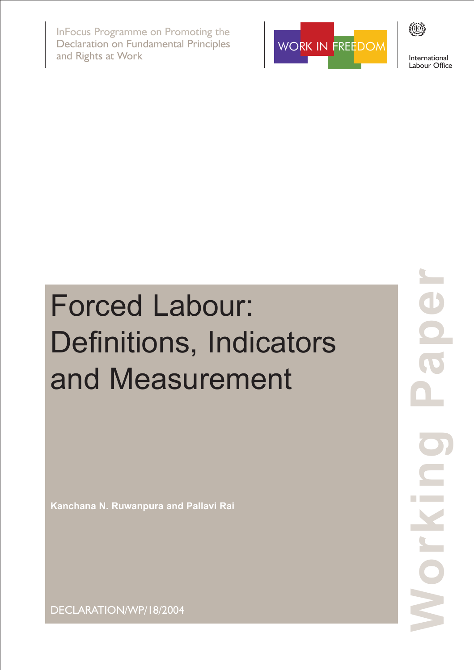InFocus Programme on Promoting the Declaration on Fundamental Principles and Rights at Work



International Labour Office

**KIO)** 

# Forced Labour: Definitions, Indicators and Measurement

**Kanchana N. Ruwanpura and Pallavi Rai**

**Working Paper** 1 NO

DECLARATION/WP/18/2004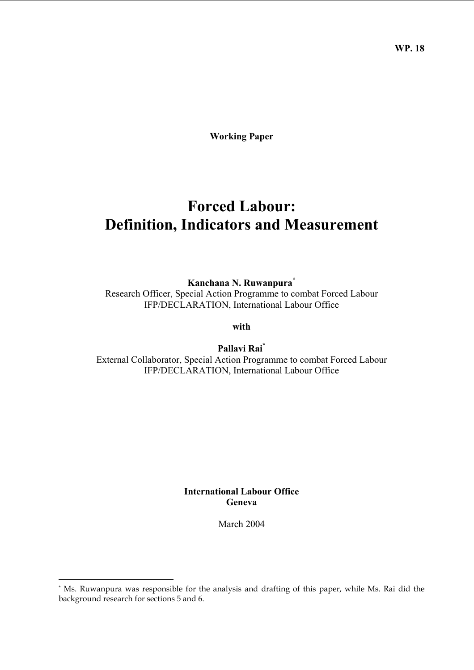**WP. 18** 

**Working Paper** 

# **Forced Labour: Definition, Indicators and Measurement**

**Kanchana N. Ruwanpura\***

Research Officer, Special Action Programme to combat Forced Labour IFP/DECLARATION, International Labour Office

**with** 

**Pallavi Rai\*** External Collaborator, Special Action Programme to combat Forced Labour IFP/DECLARATION, International Labour Office

#### **International Labour Office Geneva**

March 2004

<sup>\*</sup> Ms. Ruwanpura was responsible for the analysis and drafting of this paper, while Ms. Rai did the background research for sections 5 and 6.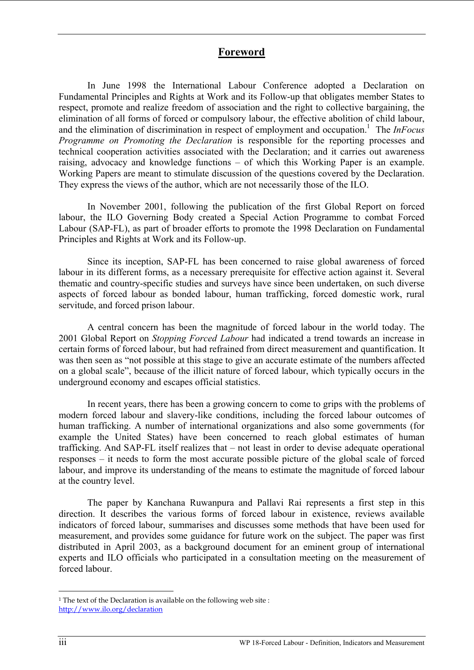## **Foreword**

In June 1998 the International Labour Conference adopted a Declaration on Fundamental Principles and Rights at Work and its Follow-up that obligates member States to respect, promote and realize freedom of association and the right to collective bargaining, the elimination of all forms of forced or compulsory labour, the effective abolition of child labour, and the elimination of discrimination in respect of employment and occupation.<sup>1</sup> The *InFocus Programme on Promoting the Declaration* is responsible for the reporting processes and technical cooperation activities associated with the Declaration; and it carries out awareness raising, advocacy and knowledge functions – of which this Working Paper is an example. Working Papers are meant to stimulate discussion of the questions covered by the Declaration. They express the views of the author, which are not necessarily those of the ILO.

In November 2001, following the publication of the first Global Report on forced labour, the ILO Governing Body created a Special Action Programme to combat Forced Labour (SAP-FL), as part of broader efforts to promote the 1998 Declaration on Fundamental Principles and Rights at Work and its Follow-up.

 Since its inception, SAP-FL has been concerned to raise global awareness of forced labour in its different forms, as a necessary prerequisite for effective action against it. Several thematic and country-specific studies and surveys have since been undertaken, on such diverse aspects of forced labour as bonded labour, human trafficking, forced domestic work, rural servitude, and forced prison labour.

 A central concern has been the magnitude of forced labour in the world today. The 2001 Global Report on *Stopping Forced Labour* had indicated a trend towards an increase in certain forms of forced labour, but had refrained from direct measurement and quantification. It was then seen as "not possible at this stage to give an accurate estimate of the numbers affected on a global scale", because of the illicit nature of forced labour, which typically occurs in the underground economy and escapes official statistics.

 In recent years, there has been a growing concern to come to grips with the problems of modern forced labour and slavery-like conditions, including the forced labour outcomes of human trafficking. A number of international organizations and also some governments (for example the United States) have been concerned to reach global estimates of human trafficking. And SAP-FL itself realizes that – not least in order to devise adequate operational responses – it needs to form the most accurate possible picture of the global scale of forced labour, and improve its understanding of the means to estimate the magnitude of forced labour at the country level.

 The paper by Kanchana Ruwanpura and Pallavi Rai represents a first step in this direction. It describes the various forms of forced labour in existence, reviews available indicators of forced labour, summarises and discusses some methods that have been used for measurement, and provides some guidance for future work on the subject. The paper was first distributed in April 2003, as a background document for an eminent group of international experts and ILO officials who participated in a consultation meeting on the measurement of forced labour.

<sup>&</sup>lt;sup>1</sup> The text of the Declaration is available on the following web site : http://www.ilo.org/declaration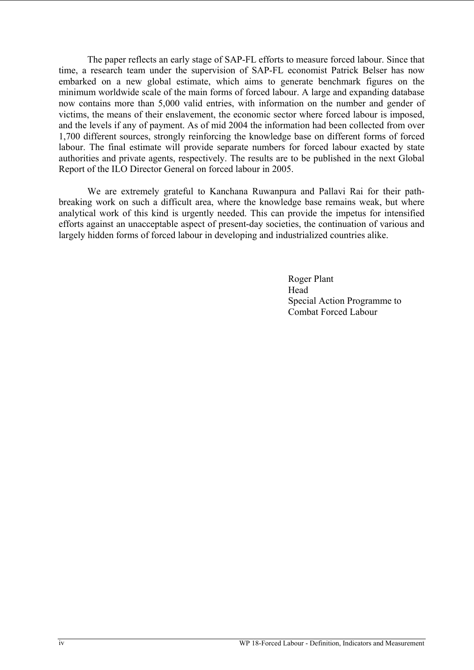The paper reflects an early stage of SAP-FL efforts to measure forced labour. Since that time, a research team under the supervision of SAP-FL economist Patrick Belser has now embarked on a new global estimate, which aims to generate benchmark figures on the minimum worldwide scale of the main forms of forced labour. A large and expanding database now contains more than 5,000 valid entries, with information on the number and gender of victims, the means of their enslavement, the economic sector where forced labour is imposed, and the levels if any of payment. As of mid 2004 the information had been collected from over 1,700 different sources, strongly reinforcing the knowledge base on different forms of forced labour. The final estimate will provide separate numbers for forced labour exacted by state authorities and private agents, respectively. The results are to be published in the next Global Report of the ILO Director General on forced labour in 2005.

 We are extremely grateful to Kanchana Ruwanpura and Pallavi Rai for their pathbreaking work on such a difficult area, where the knowledge base remains weak, but where analytical work of this kind is urgently needed. This can provide the impetus for intensified efforts against an unacceptable aspect of present-day societies, the continuation of various and largely hidden forms of forced labour in developing and industrialized countries alike.

 Roger Plant **Head Head**  Special Action Programme to Combat Forced Labour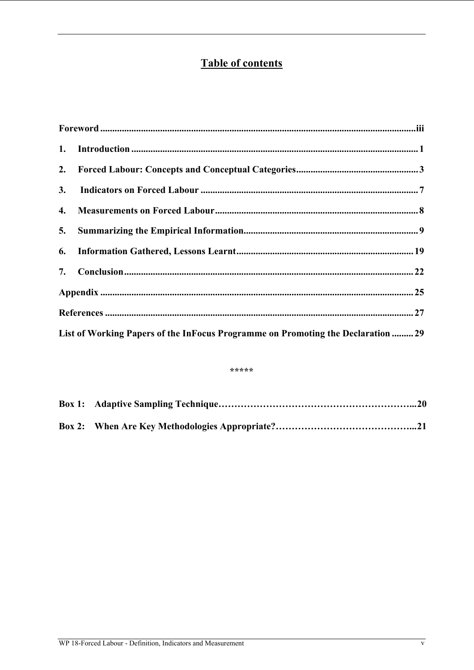# **Table of contents**

| List of Working Papers of the InFocus Programme on Promoting the Declaration  29 |  |
|----------------------------------------------------------------------------------|--|

#### \*\*\*\*\*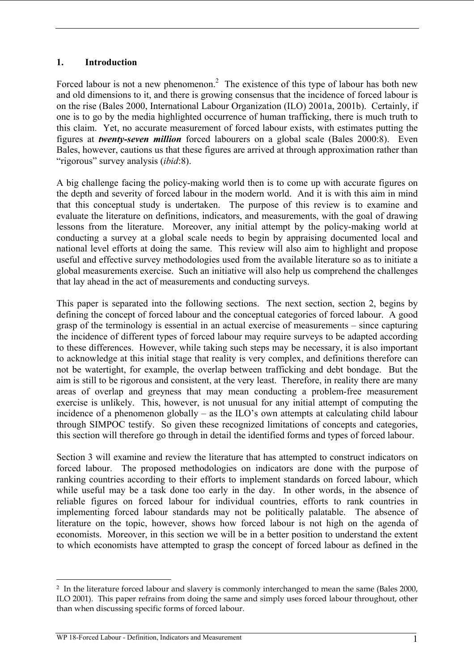#### **1. Introduction**

Forced labour is not a new phenomenon.<sup>2</sup> The existence of this type of labour has both new and old dimensions to it, and there is growing consensus that the incidence of forced labour is on the rise (Bales 2000, International Labour Organization (ILO) 2001a, 2001b). Certainly, if one is to go by the media highlighted occurrence of human trafficking, there is much truth to this claim. Yet, no accurate measurement of forced labour exists, with estimates putting the figures at *twenty-seven million* forced labourers on a global scale (Bales 2000:8). Even Bales, however, cautions us that these figures are arrived at through approximation rather than "rigorous" survey analysis (*ibid*:8).

A big challenge facing the policy-making world then is to come up with accurate figures on the depth and severity of forced labour in the modern world. And it is with this aim in mind that this conceptual study is undertaken. The purpose of this review is to examine and evaluate the literature on definitions, indicators, and measurements, with the goal of drawing lessons from the literature. Moreover, any initial attempt by the policy-making world at conducting a survey at a global scale needs to begin by appraising documented local and national level efforts at doing the same. This review will also aim to highlight and propose useful and effective survey methodologies used from the available literature so as to initiate a global measurements exercise. Such an initiative will also help us comprehend the challenges that lay ahead in the act of measurements and conducting surveys.

This paper is separated into the following sections. The next section, section 2, begins by defining the concept of forced labour and the conceptual categories of forced labour. A good grasp of the terminology is essential in an actual exercise of measurements – since capturing the incidence of different types of forced labour may require surveys to be adapted according to these differences. However, while taking such steps may be necessary, it is also important to acknowledge at this initial stage that reality is very complex, and definitions therefore can not be watertight, for example, the overlap between trafficking and debt bondage. But the aim is still to be rigorous and consistent, at the very least. Therefore, in reality there are many areas of overlap and greyness that may mean conducting a problem-free measurement exercise is unlikely. This, however, is not unusual for any initial attempt of computing the incidence of a phenomenon globally – as the ILO's own attempts at calculating child labour through SIMPOC testify. So given these recognized limitations of concepts and categories, this section will therefore go through in detail the identified forms and types of forced labour.

Section 3 will examine and review the literature that has attempted to construct indicators on forced labour. The proposed methodologies on indicators are done with the purpose of ranking countries according to their efforts to implement standards on forced labour, which while useful may be a task done too early in the day. In other words, in the absence of reliable figures on forced labour for individual countries, efforts to rank countries in implementing forced labour standards may not be politically palatable. The absence of literature on the topic, however, shows how forced labour is not high on the agenda of economists. Moreover, in this section we will be in a better position to understand the extent to which economists have attempted to grasp the concept of forced labour as defined in the

<sup>&</sup>lt;sup>2</sup> In the literature forced labour and slavery is commonly interchanged to mean the same (Bales 2000, ILO 2001). This paper refrains from doing the same and simply uses forced labour throughout, other than when discussing specific forms of forced labour.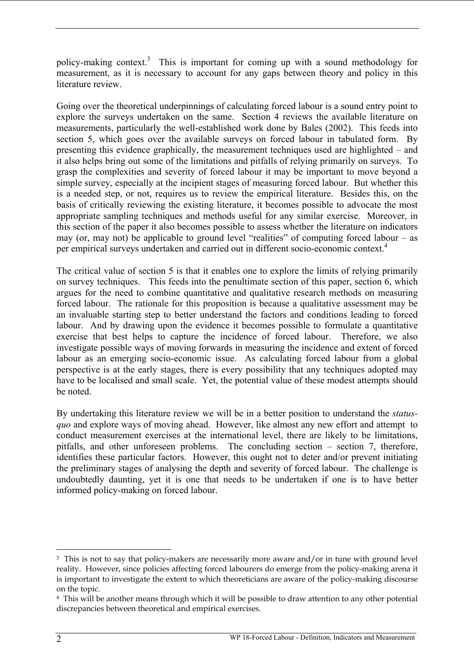policy-making context.<sup>3</sup> This is important for coming up with a sound methodology for measurement, as it is necessary to account for any gaps between theory and policy in this literature review.

Going over the theoretical underpinnings of calculating forced labour is a sound entry point to explore the surveys undertaken on the same. Section 4 reviews the available literature on measurements, particularly the well-established work done by Bales (2002). This feeds into section 5, which goes over the available surveys on forced labour in tabulated form. By presenting this evidence graphically, the measurement techniques used are highlighted – and it also helps bring out some of the limitations and pitfalls of relying primarily on surveys. To grasp the complexities and severity of forced labour it may be important to move beyond a simple survey, especially at the incipient stages of measuring forced labour. But whether this is a needed step, or not, requires us to review the empirical literature. Besides this, on the basis of critically reviewing the existing literature, it becomes possible to advocate the most appropriate sampling techniques and methods useful for any similar exercise. Moreover, in this section of the paper it also becomes possible to assess whether the literature on indicators may (or, may not) be applicable to ground level "realities" of computing forced labour  $-$  as per empirical surveys undertaken and carried out in different socio-economic context.4

The critical value of section 5 is that it enables one to explore the limits of relying primarily on survey techniques. This feeds into the penultimate section of this paper, section 6, which argues for the need to combine quantitative and qualitative research methods on measuring forced labour. The rationale for this proposition is because a qualitative assessment may be an invaluable starting step to better understand the factors and conditions leading to forced labour. And by drawing upon the evidence it becomes possible to formulate a quantitative exercise that best helps to capture the incidence of forced labour. Therefore, we also investigate possible ways of moving forwards in measuring the incidence and extent of forced labour as an emerging socio-economic issue. As calculating forced labour from a global perspective is at the early stages, there is every possibility that any techniques adopted may have to be localised and small scale. Yet, the potential value of these modest attempts should be noted.

By undertaking this literature review we will be in a better position to understand the *statusquo* and explore ways of moving ahead. However, like almost any new effort and attempt to conduct measurement exercises at the international level, there are likely to be limitations, pitfalls, and other unforeseen problems. The concluding section – section 7, therefore, identifies these particular factors. However, this ought not to deter and/or prevent initiating the preliminary stages of analysing the depth and severity of forced labour. The challenge is undoubtedly daunting, yet it is one that needs to be undertaken if one is to have better informed policy-making on forced labour.

<sup>&</sup>lt;sup>3</sup> This is not to say that policy-makers are necessarily more aware and/or in tune with ground level reality. However, since policies affecting forced labourers do emerge from the policy-making arena it is important to investigate the extent to which theoreticians are aware of the policy-making discourse on the topic.

<sup>4</sup> This will be another means through which it will be possible to draw attention to any other potential discrepancies between theoretical and empirical exercises.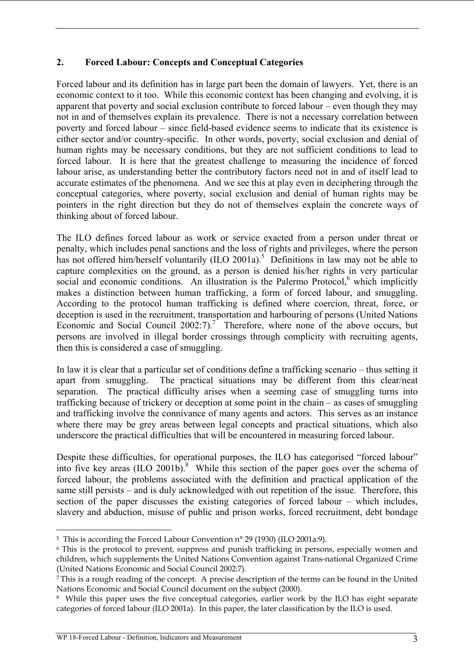## **2. Forced Labour: Concepts and Conceptual Categories**

Forced labour and its definition has in large part been the domain of lawyers. Yet, there is an economic context to it too. While this economic context has been changing and evolving, it is apparent that poverty and social exclusion contribute to forced labour – even though they may not in and of themselves explain its prevalence. There is not a necessary correlation between poverty and forced labour – since field-based evidence seems to indicate that its existence is either sector and/or country-specific. In other words, poverty, social exclusion and denial of human rights may be necessary conditions, but they are not sufficient conditions to lead to forced labour. It is here that the greatest challenge to measuring the incidence of forced labour arise, as understanding better the contributory factors need not in and of itself lead to accurate estimates of the phenomena. And we see this at play even in deciphering through the conceptual categories, where poverty, social exclusion and denial of human rights may be pointers in the right direction but they do not of themselves explain the concrete ways of thinking about of forced labour.

The ILO defines forced labour as work or service exacted from a person under threat or penalty, which includes penal sanctions and the loss of rights and privileges, where the person has not offered him/herself voluntarily  $(IIO 2001a)$ .<sup>5</sup> Definitions in law may not be able to capture complexities on the ground, as a person is denied his/her rights in very particular social and economic conditions. An illustration is the Palermo Protocol, $6$  which implicitly makes a distinction between human trafficking, a form of forced labour, and smuggling. According to the protocol human trafficking is defined where coercion, threat, force, or deception is used in the recruitment, transportation and harbouring of persons (United Nations Economic and Social Council  $2002:7$ ).<sup>7</sup> Therefore, where none of the above occurs, but persons are involved in illegal border crossings through complicity with recruiting agents, then this is considered a case of smuggling.

In law it is clear that a particular set of conditions define a trafficking scenario – thus setting it apart from smuggling. The practical situations may be different from this clear/neat separation. The practical difficulty arises when a seeming case of smuggling turns into trafficking because of trickery or deception at some point in the chain – as cases of smuggling and trafficking involve the connivance of many agents and actors. This serves as an instance where there may be grey areas between legal concepts and practical situations, which also underscore the practical difficulties that will be encountered in measuring forced labour.

Despite these difficulties, for operational purposes, the ILO has categorised "forced labour" into five key areas  $(IIO 2001b)^8$ . While this section of the paper goes over the schema of forced labour, the problems associated with the definition and practical application of the same still persists – and is duly acknowledged with out repetition of the issue. Therefore, this section of the paper discusses the existing categories of forced labour – which includes, slavery and abduction, misuse of public and prison works, forced recruitment, debt bondage

<sup>5</sup> This is according the Forced Labour Convention n° 29 (1930) (ILO 2001a:9).

<sup>6</sup> This is the protocol to prevent, suppress and punish trafficking in persons, especially women and children, which supplements the United Nations Convention against Trans-national Organized Crime (United Nations Economic and Social Council 2002:7).

<sup>7</sup> This is a rough reading of the concept. A precise description of the terms can be found in the United Nations Economic and Social Council document on the subject (2000).

<sup>8</sup> While this paper uses the five conceptual categories, earlier work by the ILO has eight separate categories of forced labour (ILO 2001a). In this paper, the later classification by the ILO is used.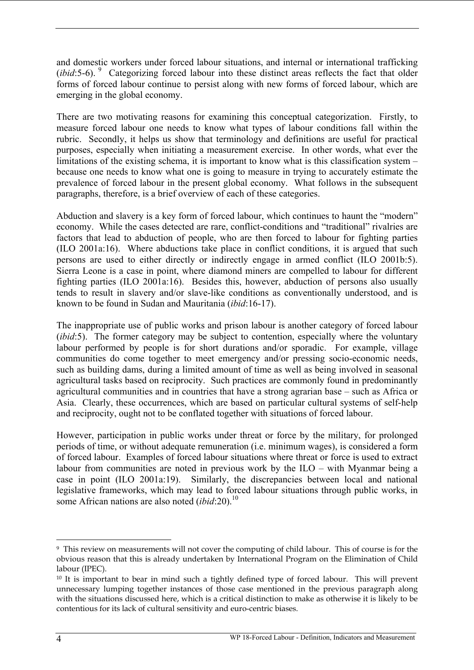and domestic workers under forced labour situations, and internal or international trafficking (*ibid*:5-6). <sup>9</sup> Categorizing forced labour into these distinct areas reflects the fact that older forms of forced labour continue to persist along with new forms of forced labour, which are emerging in the global economy.

There are two motivating reasons for examining this conceptual categorization. Firstly, to measure forced labour one needs to know what types of labour conditions fall within the rubric. Secondly, it helps us show that terminology and definitions are useful for practical purposes, especially when initiating a measurement exercise. In other words, what ever the limitations of the existing schema, it is important to know what is this classification system – because one needs to know what one is going to measure in trying to accurately estimate the prevalence of forced labour in the present global economy. What follows in the subsequent paragraphs, therefore, is a brief overview of each of these categories.

Abduction and slavery is a key form of forced labour, which continues to haunt the "modern" economy. While the cases detected are rare, conflict-conditions and "traditional" rivalries are factors that lead to abduction of people, who are then forced to labour for fighting parties (ILO 2001a:16). Where abductions take place in conflict conditions, it is argued that such persons are used to either directly or indirectly engage in armed conflict (ILO 2001b:5). Sierra Leone is a case in point, where diamond miners are compelled to labour for different fighting parties (ILO 2001a:16). Besides this, however, abduction of persons also usually tends to result in slavery and/or slave-like conditions as conventionally understood, and is known to be found in Sudan and Mauritania (*ibid*:16-17).

The inappropriate use of public works and prison labour is another category of forced labour (*ibid*:5). The former category may be subject to contention, especially where the voluntary labour performed by people is for short durations and/or sporadic. For example, village communities do come together to meet emergency and/or pressing socio-economic needs, such as building dams, during a limited amount of time as well as being involved in seasonal agricultural tasks based on reciprocity. Such practices are commonly found in predominantly agricultural communities and in countries that have a strong agrarian base – such as Africa or Asia. Clearly, these occurrences, which are based on particular cultural systems of self-help and reciprocity, ought not to be conflated together with situations of forced labour.

However, participation in public works under threat or force by the military, for prolonged periods of time, or without adequate remuneration (i.e. minimum wages), is considered a form of forced labour. Examples of forced labour situations where threat or force is used to extract labour from communities are noted in previous work by the ILO – with Myanmar being a case in point (ILO 2001a:19). Similarly, the discrepancies between local and national legislative frameworks, which may lead to forced labour situations through public works, in some African nations are also noted *(ibid:20)*.<sup>10</sup>

<sup>9</sup> This review on measurements will not cover the computing of child labour. This of course is for the obvious reason that this is already undertaken by International Program on the Elimination of Child labour (IPEC).

<sup>&</sup>lt;sup>10</sup> It is important to bear in mind such a tightly defined type of forced labour. This will prevent unnecessary lumping together instances of those case mentioned in the previous paragraph along with the situations discussed here, which is a critical distinction to make as otherwise it is likely to be contentious for its lack of cultural sensitivity and euro-centric biases.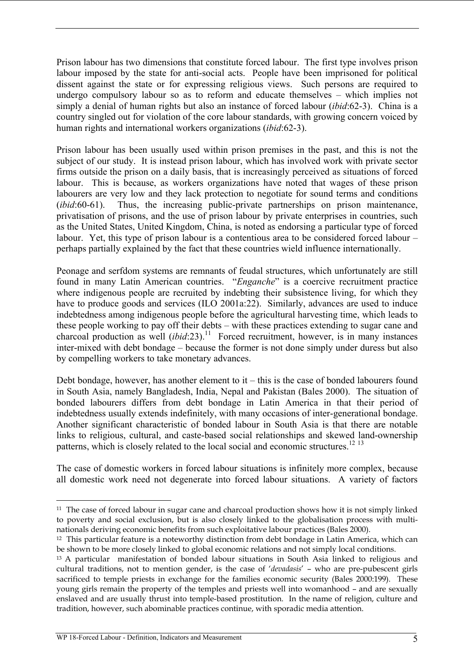Prison labour has two dimensions that constitute forced labour. The first type involves prison labour imposed by the state for anti-social acts. People have been imprisoned for political dissent against the state or for expressing religious views. Such persons are required to undergo compulsory labour so as to reform and educate themselves – which implies not simply a denial of human rights but also an instance of forced labour (*ibid*:62-3). China is a country singled out for violation of the core labour standards, with growing concern voiced by human rights and international workers organizations (*ibid*:62-3).

Prison labour has been usually used within prison premises in the past, and this is not the subject of our study. It is instead prison labour, which has involved work with private sector firms outside the prison on a daily basis, that is increasingly perceived as situations of forced labour. This is because, as workers organizations have noted that wages of these prison labourers are very low and they lack protection to negotiate for sound terms and conditions (*ibid*:60-61). Thus, the increasing public-private partnerships on prison maintenance, privatisation of prisons, and the use of prison labour by private enterprises in countries, such as the United States, United Kingdom, China, is noted as endorsing a particular type of forced labour. Yet, this type of prison labour is a contentious area to be considered forced labour – perhaps partially explained by the fact that these countries wield influence internationally.

Peonage and serfdom systems are remnants of feudal structures, which unfortunately are still found in many Latin American countries. "*Enganche*" is a coercive recruitment practice where indigenous people are recruited by indebting their subsistence living, for which they have to produce goods and services (ILO 2001a:22). Similarly, advances are used to induce indebtedness among indigenous people before the agricultural harvesting time, which leads to these people working to pay off their debts – with these practices extending to sugar cane and charcoal production as well  $(ibid:23)$ .<sup>11</sup> Forced recruitment, however, is in many instances inter-mixed with debt bondage – because the former is not done simply under duress but also by compelling workers to take monetary advances.

Debt bondage, however, has another element to it – this is the case of bonded labourers found in South Asia, namely Bangladesh, India, Nepal and Pakistan (Bales 2000). The situation of bonded labourers differs from debt bondage in Latin America in that their period of indebtedness usually extends indefinitely, with many occasions of inter-generational bondage. Another significant characteristic of bonded labour in South Asia is that there are notable links to religious, cultural, and caste-based social relationships and skewed land-ownership patterns, which is closely related to the local social and economic structures.<sup>12</sup> <sup>13</sup>

The case of domestic workers in forced labour situations is infinitely more complex, because all domestic work need not degenerate into forced labour situations. A variety of factors

 $\overline{a}$ <sup>11</sup> The case of forced labour in sugar cane and charcoal production shows how it is not simply linked to poverty and social exclusion, but is also closely linked to the globalisation process with multinationals deriving economic benefits from such exploitative labour practices (Bales 2000).

<sup>12</sup> This particular feature is a noteworthy distinction from debt bondage in Latin America, which can be shown to be more closely linked to global economic relations and not simply local conditions.

<sup>&</sup>lt;sup>13</sup> A particular manifestation of bonded labour situations in South Asia linked to religious and cultural traditions, not to mention gender, is the case of '*devadasis*' – who are pre-pubescent girls sacrificed to temple priests in exchange for the families economic security (Bales 2000:199). These young girls remain the property of the temples and priests well into womanhood – and are sexually enslaved and are usually thrust into temple-based prostitution. In the name of religion, culture and tradition, however, such abominable practices continue, with sporadic media attention.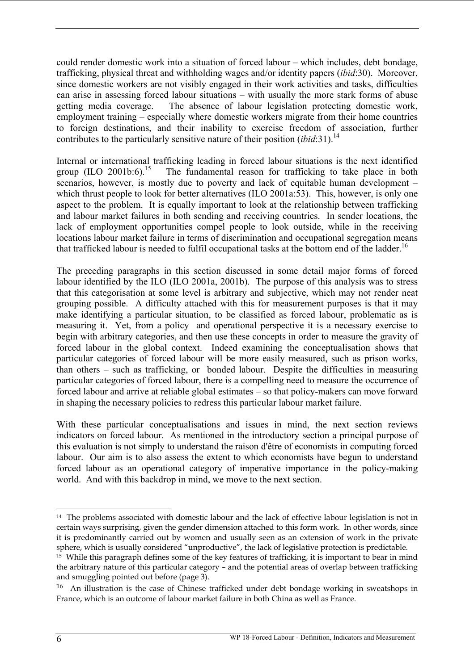could render domestic work into a situation of forced labour – which includes, debt bondage, trafficking, physical threat and withholding wages and/or identity papers (*ibid*:30). Moreover, since domestic workers are not visibly engaged in their work activities and tasks, difficulties can arise in assessing forced labour situations – with usually the more stark forms of abuse getting media coverage. The absence of labour legislation protecting domestic work, employment training – especially where domestic workers migrate from their home countries to foreign destinations, and their inability to exercise freedom of association, further contributes to the particularly sensitive nature of their position (*ibid*:31).<sup>14</sup>

Internal or international trafficking leading in forced labour situations is the next identified<br>group (ILO 2001b:6).<sup>15</sup> The fundamental reason for trafficking to take place in both The fundamental reason for trafficking to take place in both scenarios, however, is mostly due to poverty and lack of equitable human development – which thrust people to look for better alternatives (ILO 2001a:53). This, however, is only one aspect to the problem. It is equally important to look at the relationship between trafficking and labour market failures in both sending and receiving countries. In sender locations, the lack of employment opportunities compel people to look outside, while in the receiving locations labour market failure in terms of discrimination and occupational segregation means that trafficked labour is needed to fulfil occupational tasks at the bottom end of the ladder.<sup>16</sup>

The preceding paragraphs in this section discussed in some detail major forms of forced labour identified by the ILO (ILO 2001a, 2001b). The purpose of this analysis was to stress that this categorisation at some level is arbitrary and subjective, which may not render neat grouping possible. A difficulty attached with this for measurement purposes is that it may make identifying a particular situation, to be classified as forced labour, problematic as is measuring it. Yet, from a policy and operational perspective it is a necessary exercise to begin with arbitrary categories, and then use these concepts in order to measure the gravity of forced labour in the global context. Indeed examining the conceptualisation shows that particular categories of forced labour will be more easily measured, such as prison works, than others – such as trafficking, or bonded labour. Despite the difficulties in measuring particular categories of forced labour, there is a compelling need to measure the occurrence of forced labour and arrive at reliable global estimates – so that policy-makers can move forward in shaping the necessary policies to redress this particular labour market failure.

With these particular conceptualisations and issues in mind, the next section reviews indicators on forced labour. As mentioned in the introductory section a principal purpose of this evaluation is not simply to understand the raison d'être of economists in computing forced labour. Our aim is to also assess the extent to which economists have begun to understand forced labour as an operational category of imperative importance in the policy-making world. And with this backdrop in mind, we move to the next section.

<sup>14</sup> The problems associated with domestic labour and the lack of effective labour legislation is not in certain ways surprising, given the gender dimension attached to this form work. In other words, since it is predominantly carried out by women and usually seen as an extension of work in the private sphere, which is usually considered "unproductive", the lack of legislative protection is predictable.

 $15$  While this paragraph defines some of the key features of trafficking, it is important to bear in mind the arbitrary nature of this particular category – and the potential areas of overlap between trafficking and smuggling pointed out before (page 3).

<sup>16</sup> An illustration is the case of Chinese trafficked under debt bondage working in sweatshops in France, which is an outcome of labour market failure in both China as well as France.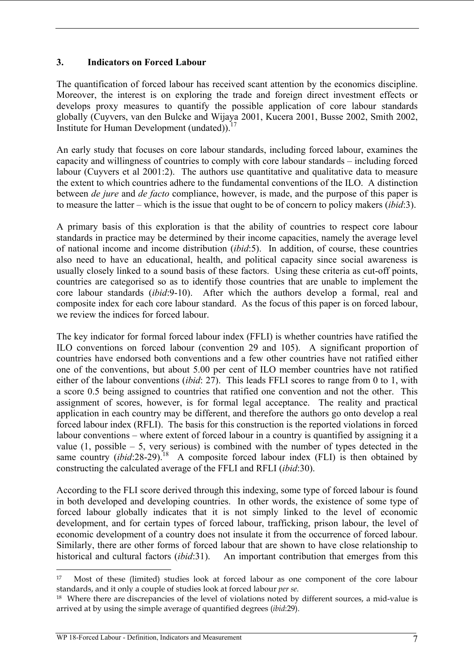## **3. Indicators on Forced Labour**

The quantification of forced labour has received scant attention by the economics discipline. Moreover, the interest is on exploring the trade and foreign direct investment effects or develops proxy measures to quantify the possible application of core labour standards globally (Cuyvers, van den Bulcke and Wijaya 2001, Kucera 2001, Busse 2002, Smith 2002, Institute for Human Development (undated)).17

An early study that focuses on core labour standards, including forced labour, examines the capacity and willingness of countries to comply with core labour standards – including forced labour (Cuyvers et al 2001:2). The authors use quantitative and qualitative data to measure the extent to which countries adhere to the fundamental conventions of the ILO. A distinction between *de jure* and *de facto* compliance, however, is made, and the purpose of this paper is to measure the latter – which is the issue that ought to be of concern to policy makers (*ibid*:3).

A primary basis of this exploration is that the ability of countries to respect core labour standards in practice may be determined by their income capacities, namely the average level of national income and income distribution (*ibid*:5). In addition, of course, these countries also need to have an educational, health, and political capacity since social awareness is usually closely linked to a sound basis of these factors. Using these criteria as cut-off points, countries are categorised so as to identify those countries that are unable to implement the core labour standards (*ibid*:9-10). After which the authors develop a formal, real and composite index for each core labour standard. As the focus of this paper is on forced labour, we review the indices for forced labour.

The key indicator for formal forced labour index (FFLI) is whether countries have ratified the ILO conventions on forced labour (convention 29 and 105). A significant proportion of countries have endorsed both conventions and a few other countries have not ratified either one of the conventions, but about 5.00 per cent of ILO member countries have not ratified either of the labour conventions (*ibid*: 27). This leads FFLI scores to range from 0 to 1, with a score 0.5 being assigned to countries that ratified one convention and not the other. This assignment of scores, however, is for formal legal acceptance. The reality and practical application in each country may be different, and therefore the authors go onto develop a real forced labour index (RFLI). The basis for this construction is the reported violations in forced labour conventions – where extent of forced labour in a country is quantified by assigning it a value  $(1, \text{possible} - 5, \text{very serious})$  is combined with the number of types detected in the same country  $(ibid:28-29)$ .<sup>18</sup> A composite forced labour index (FLI) is then obtained by constructing the calculated average of the FFLI and RFLI (*ibid*:30).

According to the FLI score derived through this indexing, some type of forced labour is found in both developed and developing countries. In other words, the existence of some type of forced labour globally indicates that it is not simply linked to the level of economic development, and for certain types of forced labour, trafficking, prison labour, the level of economic development of a country does not insulate it from the occurrence of forced labour. Similarly, there are other forms of forced labour that are shown to have close relationship to historical and cultural factors (*ibid*:31). An important contribution that emerges from this

<sup>17</sup> Most of these (limited) studies look at forced labour as one component of the core labour standards, and it only a couple of studies look at forced labour *per se*.<br><sup>18</sup> Where there are discrepancies of the level of violations noted by different sources, a mid-value is

arrived at by using the simple average of quantified degrees (*ibid*:29).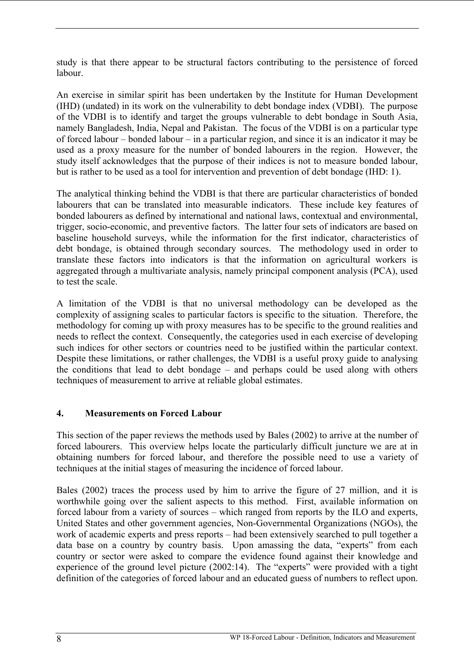study is that there appear to be structural factors contributing to the persistence of forced labour.

An exercise in similar spirit has been undertaken by the Institute for Human Development (IHD) (undated) in its work on the vulnerability to debt bondage index (VDBI). The purpose of the VDBI is to identify and target the groups vulnerable to debt bondage in South Asia, namely Bangladesh, India, Nepal and Pakistan. The focus of the VDBI is on a particular type of forced labour – bonded labour – in a particular region, and since it is an indicator it may be used as a proxy measure for the number of bonded labourers in the region. However, the study itself acknowledges that the purpose of their indices is not to measure bonded labour, but is rather to be used as a tool for intervention and prevention of debt bondage (IHD: 1).

The analytical thinking behind the VDBI is that there are particular characteristics of bonded labourers that can be translated into measurable indicators. These include key features of bonded labourers as defined by international and national laws, contextual and environmental, trigger, socio-economic, and preventive factors. The latter four sets of indicators are based on baseline household surveys, while the information for the first indicator, characteristics of debt bondage, is obtained through secondary sources. The methodology used in order to translate these factors into indicators is that the information on agricultural workers is aggregated through a multivariate analysis, namely principal component analysis (PCA), used to test the scale.

A limitation of the VDBI is that no universal methodology can be developed as the complexity of assigning scales to particular factors is specific to the situation. Therefore, the methodology for coming up with proxy measures has to be specific to the ground realities and needs to reflect the context. Consequently, the categories used in each exercise of developing such indices for other sectors or countries need to be justified within the particular context. Despite these limitations, or rather challenges, the VDBI is a useful proxy guide to analysing the conditions that lead to debt bondage – and perhaps could be used along with others techniques of measurement to arrive at reliable global estimates.

### **4. Measurements on Forced Labour**

This section of the paper reviews the methods used by Bales (2002) to arrive at the number of forced labourers. This overview helps locate the particularly difficult juncture we are at in obtaining numbers for forced labour, and therefore the possible need to use a variety of techniques at the initial stages of measuring the incidence of forced labour.

Bales (2002) traces the process used by him to arrive the figure of 27 million, and it is worthwhile going over the salient aspects to this method. First, available information on forced labour from a variety of sources – which ranged from reports by the ILO and experts, United States and other government agencies, Non-Governmental Organizations (NGOs), the work of academic experts and press reports – had been extensively searched to pull together a data base on a country by country basis. Upon amassing the data, "experts" from each country or sector were asked to compare the evidence found against their knowledge and experience of the ground level picture (2002:14). The "experts" were provided with a tight definition of the categories of forced labour and an educated guess of numbers to reflect upon.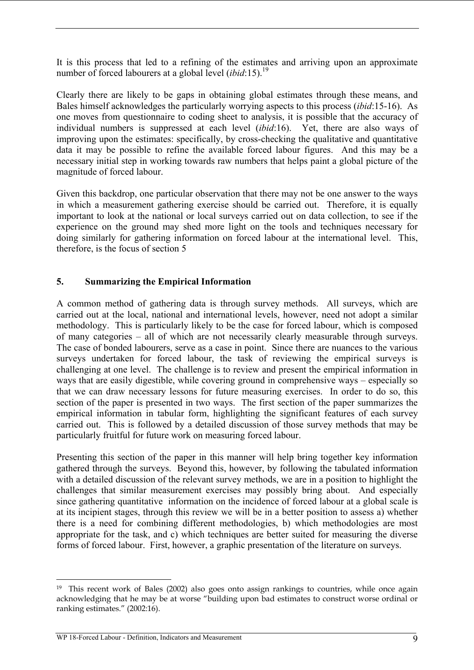It is this process that led to a refining of the estimates and arriving upon an approximate number of forced labourers at a global level *(ibid*:15).<sup>19</sup>

Clearly there are likely to be gaps in obtaining global estimates through these means, and Bales himself acknowledges the particularly worrying aspects to this process (*ibid*:15-16). As one moves from questionnaire to coding sheet to analysis, it is possible that the accuracy of individual numbers is suppressed at each level (*ibid*:16). Yet, there are also ways of improving upon the estimates: specifically, by cross-checking the qualitative and quantitative data it may be possible to refine the available forced labour figures. And this may be a necessary initial step in working towards raw numbers that helps paint a global picture of the magnitude of forced labour.

Given this backdrop, one particular observation that there may not be one answer to the ways in which a measurement gathering exercise should be carried out. Therefore, it is equally important to look at the national or local surveys carried out on data collection, to see if the experience on the ground may shed more light on the tools and techniques necessary for doing similarly for gathering information on forced labour at the international level. This, therefore, is the focus of section 5

#### **5. Summarizing the Empirical Information**

A common method of gathering data is through survey methods. All surveys, which are carried out at the local, national and international levels, however, need not adopt a similar methodology. This is particularly likely to be the case for forced labour, which is composed of many categories – all of which are not necessarily clearly measurable through surveys. The case of bonded labourers, serve as a case in point. Since there are nuances to the various surveys undertaken for forced labour, the task of reviewing the empirical surveys is challenging at one level. The challenge is to review and present the empirical information in ways that are easily digestible, while covering ground in comprehensive ways – especially so that we can draw necessary lessons for future measuring exercises. In order to do so, this section of the paper is presented in two ways. The first section of the paper summarizes the empirical information in tabular form, highlighting the significant features of each survey carried out. This is followed by a detailed discussion of those survey methods that may be particularly fruitful for future work on measuring forced labour.

Presenting this section of the paper in this manner will help bring together key information gathered through the surveys. Beyond this, however, by following the tabulated information with a detailed discussion of the relevant survey methods, we are in a position to highlight the challenges that similar measurement exercises may possibly bring about. And especially since gathering quantitative information on the incidence of forced labour at a global scale is at its incipient stages, through this review we will be in a better position to assess a) whether there is a need for combining different methodologies, b) which methodologies are most appropriate for the task, and c) which techniques are better suited for measuring the diverse forms of forced labour. First, however, a graphic presentation of the literature on surveys.

<sup>19</sup> This recent work of Bales (2002) also goes onto assign rankings to countries, while once again acknowledging that he may be at worse "building upon bad estimates to construct worse ordinal or ranking estimates." (2002:16).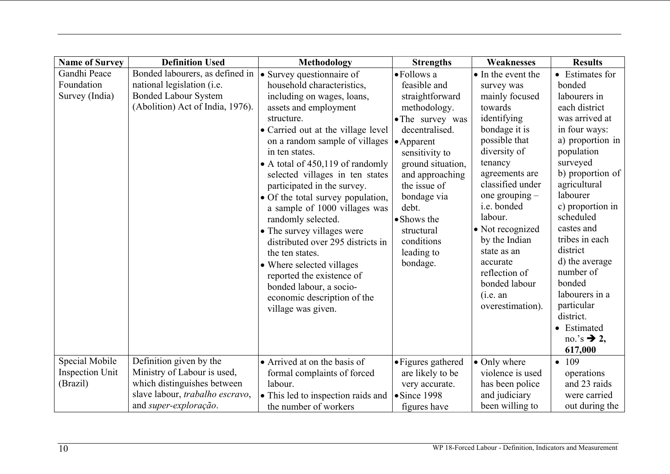| <b>Name of Survey</b>  | <b>Definition Used</b>           | Methodology                        | <b>Strengths</b>     | Weaknesses         | <b>Results</b>         |
|------------------------|----------------------------------|------------------------------------|----------------------|--------------------|------------------------|
| Gandhi Peace           | Bonded labourers, as defined in  | • Survey questionnaire of          | • Follows a          | • In the event the | • Estimates for        |
| Foundation             | national legislation (i.e.       | household characteristics,         | feasible and         | survey was         | bonded                 |
| Survey (India)         | <b>Bonded Labour System</b>      | including on wages, loans,         | straightforward      | mainly focused     | labourers in           |
|                        | (Abolition) Act of India, 1976). | assets and employment              | methodology.         | towards            | each district          |
|                        |                                  | structure.                         | • The survey was     | identifying        | was arrived at         |
|                        |                                  | • Carried out at the village level | decentralised.       | bondage it is      | in four ways:          |
|                        |                                  | on a random sample of villages     | $\bullet$ Apparent   | possible that      | a) proportion in       |
|                        |                                  | in ten states.                     | sensitivity to       | diversity of       | population             |
|                        |                                  | • A total of 450,119 of randomly   | ground situation,    | tenancy            | surveyed               |
|                        |                                  | selected villages in ten states    | and approaching      | agreements are     | b) proportion of       |
|                        |                                  | participated in the survey.        | the issue of         | classified under   | agricultural           |
|                        |                                  | • Of the total survey population,  | bondage via          | one grouping $-$   | labourer               |
|                        |                                  | a sample of 1000 villages was      | debt.                | i.e. bonded        | c) proportion in       |
|                        |                                  | randomly selected.                 | • Shows the          | labour.            | scheduled              |
|                        |                                  | • The survey villages were         | structural           | • Not recognized   | castes and             |
|                        |                                  | distributed over 295 districts in  | conditions           | by the Indian      | tribes in each         |
|                        |                                  | the ten states.                    | leading to           | state as an        | district               |
|                        |                                  | • Where selected villages          | bondage.             | accurate           | d) the average         |
|                        |                                  | reported the existence of          |                      | reflection of      | number of              |
|                        |                                  | bonded labour, a socio-            |                      | bonded labour      | bonded                 |
|                        |                                  | economic description of the        |                      | (i.e. an           | labourers in a         |
|                        |                                  | village was given.                 |                      | overestimation).   | particular             |
|                        |                                  |                                    |                      |                    | district.              |
|                        |                                  |                                    |                      |                    | • Estimated            |
|                        |                                  |                                    |                      |                    | no.'s $\rightarrow$ 2, |
|                        |                                  |                                    |                      |                    | 617,000                |
| Special Mobile         | Definition given by the          | • Arrived at on the basis of       | • Figures gathered   | • Only where       | • 109                  |
| <b>Inspection Unit</b> | Ministry of Labour is used,      | formal complaints of forced        | are likely to be     | violence is used   | operations             |
| (Brazil)               | which distinguishes between      | labour.                            | very accurate.       | has been police    | and 23 raids           |
|                        | slave labour, trabalho escravo,  | • This led to inspection raids and | $\bullet$ Since 1998 | and judiciary      | were carried           |
|                        | and super-exploração.            | the number of workers              | figures have         | been willing to    | out during the         |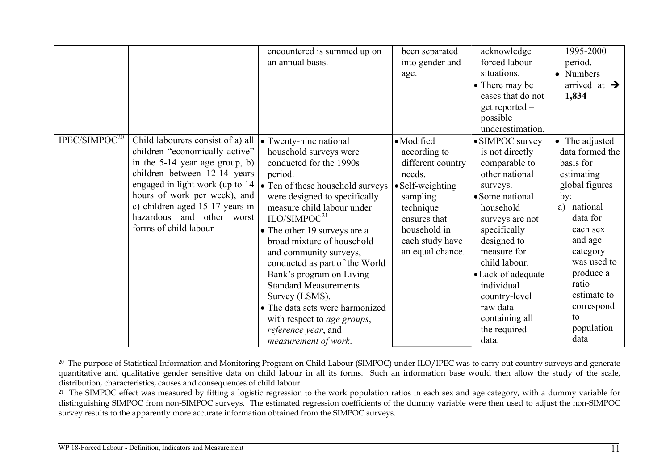|                           |                                                                                                                                                                                                                                                                                                   | encountered is summed up on<br>an annual basis.                                                                                                                                                                                                                                                                                                                                                                                                                                                                                                        | been separated<br>into gender and<br>age.                                                                                                                                             | acknowledge<br>forced labour<br>situations.<br>• There may be<br>cases that do not<br>get reported -<br>possible<br>underestimation.                                                                                                                                                                            | 1995-2000<br>period.<br>• Numbers<br>arrived at $\rightarrow$<br>1,834                                                                                                                                                                               |
|---------------------------|---------------------------------------------------------------------------------------------------------------------------------------------------------------------------------------------------------------------------------------------------------------------------------------------------|--------------------------------------------------------------------------------------------------------------------------------------------------------------------------------------------------------------------------------------------------------------------------------------------------------------------------------------------------------------------------------------------------------------------------------------------------------------------------------------------------------------------------------------------------------|---------------------------------------------------------------------------------------------------------------------------------------------------------------------------------------|-----------------------------------------------------------------------------------------------------------------------------------------------------------------------------------------------------------------------------------------------------------------------------------------------------------------|------------------------------------------------------------------------------------------------------------------------------------------------------------------------------------------------------------------------------------------------------|
| IPEC/SIMPOC <sup>20</sup> | Child labourers consist of a) all<br>children "economically active"<br>in the 5-14 year age group, b)<br>children between 12-14 years<br>engaged in light work (up to 14<br>hours of work per week), and<br>c) children aged 15-17 years in<br>hazardous and other worst<br>forms of child labour | • Twenty-nine national<br>household surveys were<br>conducted for the 1990s<br>period.<br>• Ten of these household surveys<br>were designed to specifically<br>measure child labour under<br>ILO/SIMPOC <sup>21</sup><br>• The other 19 surveys are a<br>broad mixture of household<br>and community surveys,<br>conducted as part of the World<br>Bank's program on Living<br><b>Standard Measurements</b><br>Survey (LSMS).<br>• The data sets were harmonized<br>with respect to <i>age groups</i> ,<br>reference year, and<br>measurement of work. | · Modified<br>according to<br>different country<br>needs.<br>$\bullet$ Self-weighting<br>sampling<br>technique<br>ensures that<br>household in<br>each study have<br>an equal chance. | • SIMPOC survey<br>is not directly<br>comparable to<br>other national<br>surveys.<br>• Some national<br>household<br>surveys are not<br>specifically<br>designed to<br>measure for<br>child labour.<br>• Lack of adequate<br>individual<br>country-level<br>raw data<br>containing all<br>the required<br>data. | • The adjusted<br>data formed the<br>basis for<br>estimating<br>global figures<br>by:<br>national<br>a)<br>data for<br>each sex<br>and age<br>category<br>was used to<br>produce a<br>ratio<br>estimate to<br>correspond<br>to<br>population<br>data |

<sup>&</sup>lt;sup>20</sup> The purpose of Statistical Information and Monitoring Program on Child Labour (SIMPOC) under ILO/IPEC was to carry out country surveys and generate quantitative and qualitative gender sensitive data on child labour in all its forms. Such an information base would then allow the study of the scale, distribution, characteristics, causes and consequences of child labour.

<sup>&</sup>lt;sup>21</sup> The SIMPOC effect was measured by fitting a logistic regression to the work population ratios in each sex and age category, with a dummy variable for distinguishing SIMPOC from non-SIMPOC surveys. The estimated regression coefficients of the dummy variable were then used to adjust the non-SIMPOC survey results to the apparently more accurate information obtained from the SIMPOC surveys.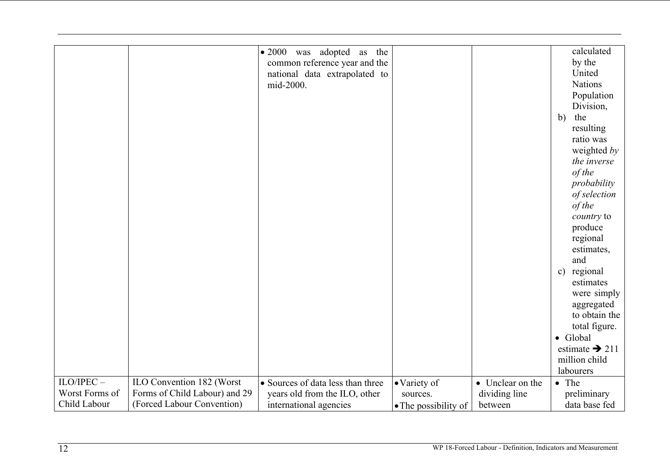|                |                               |                                   |                      |                  | calculated                 |
|----------------|-------------------------------|-----------------------------------|----------------------|------------------|----------------------------|
|                |                               | • 2000 was adopted as the         |                      |                  |                            |
|                |                               | common reference year and the     |                      |                  | by the                     |
|                |                               | national data extrapolated to     |                      |                  | United                     |
|                |                               | mid-2000.                         |                      |                  | <b>Nations</b>             |
|                |                               |                                   |                      |                  | Population                 |
|                |                               |                                   |                      |                  | Division,                  |
|                |                               |                                   |                      |                  | the<br>b)                  |
|                |                               |                                   |                      |                  | resulting                  |
|                |                               |                                   |                      |                  | ratio was                  |
|                |                               |                                   |                      |                  | weighted by                |
|                |                               |                                   |                      |                  | the inverse                |
|                |                               |                                   |                      |                  | of the                     |
|                |                               |                                   |                      |                  | probability                |
|                |                               |                                   |                      |                  | of selection               |
|                |                               |                                   |                      |                  | of the                     |
|                |                               |                                   |                      |                  | country to                 |
|                |                               |                                   |                      |                  | produce                    |
|                |                               |                                   |                      |                  | regional                   |
|                |                               |                                   |                      |                  | estimates,                 |
|                |                               |                                   |                      |                  | and                        |
|                |                               |                                   |                      |                  | regional<br>$\mathbf{c})$  |
|                |                               |                                   |                      |                  | estimates                  |
|                |                               |                                   |                      |                  | were simply                |
|                |                               |                                   |                      |                  | aggregated                 |
|                |                               |                                   |                      |                  | to obtain the              |
|                |                               |                                   |                      |                  | total figure.              |
|                |                               |                                   |                      |                  | • Global                   |
|                |                               |                                   |                      |                  | estimate $\rightarrow$ 211 |
|                |                               |                                   |                      |                  | million child              |
|                |                               |                                   |                      |                  | labourers                  |
| $ILO/IPEC -$   |                               |                                   |                      |                  |                            |
| Worst Forms of | ILO Convention 182 (Worst     | • Sources of data less than three | • Variety of         | • Unclear on the | • The                      |
|                | Forms of Child Labour) and 29 | years old from the ILO, other     | sources.             | dividing line    | preliminary                |
| Child Labour   | (Forced Labour Convention)    | international agencies            | • The possibility of | between          | data base fed              |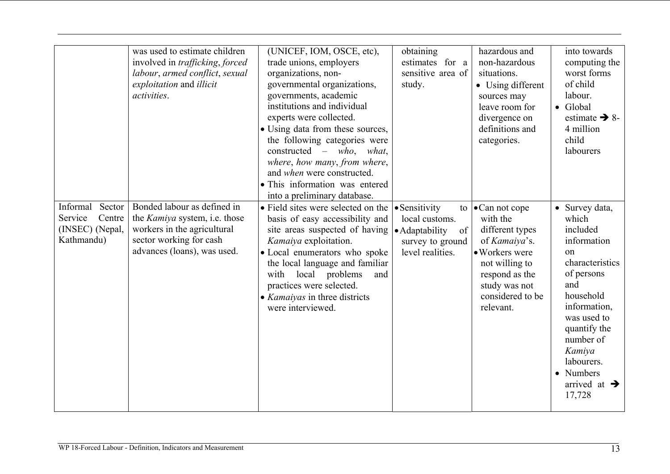|                                                                       | was used to estimate children<br>involved in <i>trafficking</i> , <i>forced</i><br>labour, armed conflict, sexual<br>exploitation and illicit<br>activities. | (UNICEF, IOM, OSCE, etc),<br>trade unions, employers<br>organizations, non-<br>governmental organizations,<br>governments, academic<br>institutions and individual<br>experts were collected.<br>• Using data from these sources,<br>the following categories were<br>constructed $-$ who, what,<br>where, how many, from where,<br>and when were constructed.<br>• This information was entered<br>into a preliminary database. | obtaining<br>estimates for a<br>sensitive area of<br>study.                                     | hazardous and<br>non-hazardous<br>situations.<br>• Using different<br>sources may<br>leave room for<br>divergence on<br>definitions and<br>categories.                            | into towards<br>computing the<br>worst forms<br>of child<br>labour.<br>$\bullet$ Global<br>estimate $\rightarrow$ 8-<br>4 million<br>child<br>labourers                                                                                              |
|-----------------------------------------------------------------------|--------------------------------------------------------------------------------------------------------------------------------------------------------------|----------------------------------------------------------------------------------------------------------------------------------------------------------------------------------------------------------------------------------------------------------------------------------------------------------------------------------------------------------------------------------------------------------------------------------|-------------------------------------------------------------------------------------------------|-----------------------------------------------------------------------------------------------------------------------------------------------------------------------------------|------------------------------------------------------------------------------------------------------------------------------------------------------------------------------------------------------------------------------------------------------|
| Informal Sector<br>Centre<br>Service<br>(INSEC) (Nepal,<br>Kathmandu) | Bonded labour as defined in<br>the Kamiya system, i.e. those<br>workers in the agricultural<br>sector working for cash<br>advances (loans), was used.        | • Field sites were selected on the<br>basis of easy accessibility and<br>site areas suspected of having<br>Kamaiya exploitation.<br>• Local enumerators who spoke<br>the local language and familiar<br>with<br>local problems<br>and<br>practices were selected.<br>• Kamaiyas in three districts<br>were interviewed.                                                                                                          | • Sensitivity<br>local customs.<br>· Adaptability<br>of<br>survey to ground<br>level realities. | to $\bullet$ Can not cope<br>with the<br>different types<br>of Kamaiya's.<br>• Workers were<br>not willing to<br>respond as the<br>study was not<br>considered to be<br>relevant. | • Survey data,<br>which<br>included<br>information<br>on<br>characteristics<br>of persons<br>and<br>household<br>information,<br>was used to<br>quantify the<br>number of<br>Kamiya<br>labourers.<br>• Numbers<br>arrived at $\rightarrow$<br>17,728 |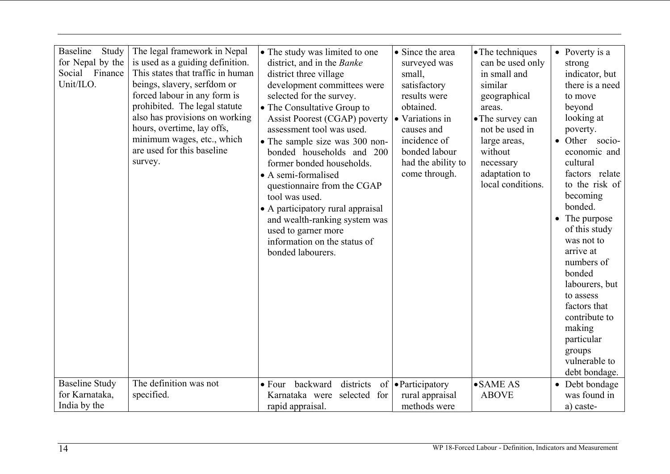| <b>Baseline</b><br>Study<br>for Nepal by the<br>Social Finance<br>Unit/ILO.<br><b>Baseline Study</b> | The legal framework in Nepal<br>is used as a guiding definition.<br>This states that traffic in human<br>beings, slavery, serfdom or<br>forced labour in any form is<br>prohibited. The legal statute<br>also has provisions on working<br>hours, overtime, lay offs,<br>minimum wages, etc., which<br>are used for this baseline<br>survey.<br>The definition was not | • The study was limited to one<br>district, and in the Banke<br>district three village<br>development committees were<br>selected for the survey.<br>• The Consultative Group to<br>Assist Poorest (CGAP) poverty<br>assessment tool was used.<br>• The sample size was 300 non-<br>bonded households and 200<br>former bonded households.<br>• A semi-formalised<br>questionnaire from the CGAP<br>tool was used.<br>• A participatory rural appraisal<br>and wealth-ranking system was<br>used to garner more<br>information on the status of<br>bonded labourers.<br>districts | • Since the area<br>surveyed was<br>small,<br>satisfactory<br>results were<br>obtained.<br>• Variations in<br>causes and<br>incidence of<br>bonded labour<br>had the ability to<br>come through. | • The techniques<br>can be used only<br>in small and<br>similar<br>geographical<br>areas.<br>• The survey can<br>not be used in<br>large areas,<br>without<br>necessary<br>adaptation to<br>local conditions.<br>$\bullet$ SAME AS | $\bullet$ Poverty is a<br>strong<br>indicator, but<br>there is a need<br>to move<br>beyond<br>looking at<br>poverty.<br>Other socio-<br>economic and<br>cultural<br>factors relate<br>to the risk of<br>becoming<br>bonded.<br>• The purpose<br>of this study<br>was not to<br>arrive at<br>numbers of<br>bonded<br>labourers, but<br>to assess<br>factors that<br>contribute to<br>making<br>particular<br>groups<br>vulnerable to<br>debt bondage. |
|------------------------------------------------------------------------------------------------------|------------------------------------------------------------------------------------------------------------------------------------------------------------------------------------------------------------------------------------------------------------------------------------------------------------------------------------------------------------------------|-----------------------------------------------------------------------------------------------------------------------------------------------------------------------------------------------------------------------------------------------------------------------------------------------------------------------------------------------------------------------------------------------------------------------------------------------------------------------------------------------------------------------------------------------------------------------------------|--------------------------------------------------------------------------------------------------------------------------------------------------------------------------------------------------|------------------------------------------------------------------------------------------------------------------------------------------------------------------------------------------------------------------------------------|------------------------------------------------------------------------------------------------------------------------------------------------------------------------------------------------------------------------------------------------------------------------------------------------------------------------------------------------------------------------------------------------------------------------------------------------------|
|                                                                                                      |                                                                                                                                                                                                                                                                                                                                                                        | • Four backward                                                                                                                                                                                                                                                                                                                                                                                                                                                                                                                                                                   | of <b>•</b> Participatory                                                                                                                                                                        |                                                                                                                                                                                                                                    | • Debt bondage                                                                                                                                                                                                                                                                                                                                                                                                                                       |
| for Karnataka,                                                                                       | specified.                                                                                                                                                                                                                                                                                                                                                             | Karnataka were selected for                                                                                                                                                                                                                                                                                                                                                                                                                                                                                                                                                       | rural appraisal                                                                                                                                                                                  | <b>ABOVE</b>                                                                                                                                                                                                                       | was found in                                                                                                                                                                                                                                                                                                                                                                                                                                         |
| India by the                                                                                         |                                                                                                                                                                                                                                                                                                                                                                        | rapid appraisal.                                                                                                                                                                                                                                                                                                                                                                                                                                                                                                                                                                  | methods were                                                                                                                                                                                     |                                                                                                                                                                                                                                    | a) caste-                                                                                                                                                                                                                                                                                                                                                                                                                                            |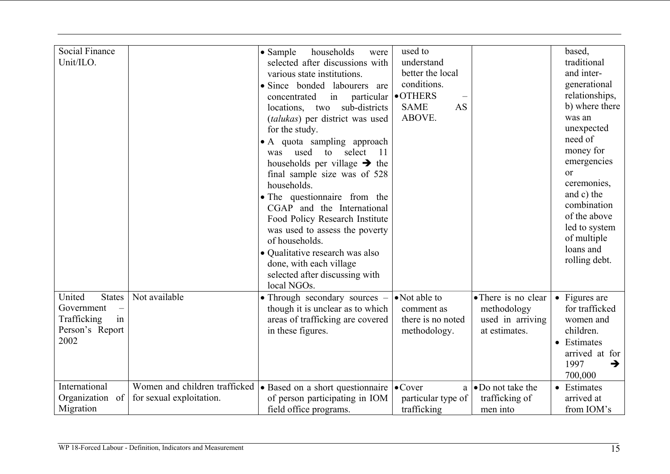| Social Finance<br>Unit/ILO.                                                           |                                                           | $\bullet$ Sample<br>households<br>were<br>selected after discussions with<br>various state institutions.<br>• Since bonded labourers are<br>in<br>particular<br>concentrated<br>sub-districts<br>locations, two<br>(talukas) per district was used<br>for the study.<br>• A quota sampling approach<br>used<br>to<br>select<br>-11<br>was<br>households per village $\rightarrow$ the<br>final sample size was of 528<br>households.<br>• The questionnaire from the<br>CGAP and the International<br>Food Policy Research Institute<br>was used to assess the poverty<br>of households.<br>• Qualitative research was also<br>done, with each village<br>selected after discussing with<br>local NGOs. | used to<br>understand<br>better the local<br>conditions.<br><b>•OTHERS</b><br><b>SAME</b><br><b>AS</b><br>ABOVE. |                                                                         | based,<br>traditional<br>and inter-<br>generational<br>relationships,<br>b) where there<br>was an<br>unexpected<br>need of<br>money for<br>emergencies<br><sub>or</sub><br>ceremonies,<br>and c) the<br>combination<br>of the above<br>led to system<br>of multiple<br>loans and<br>rolling debt. |
|---------------------------------------------------------------------------------------|-----------------------------------------------------------|---------------------------------------------------------------------------------------------------------------------------------------------------------------------------------------------------------------------------------------------------------------------------------------------------------------------------------------------------------------------------------------------------------------------------------------------------------------------------------------------------------------------------------------------------------------------------------------------------------------------------------------------------------------------------------------------------------|------------------------------------------------------------------------------------------------------------------|-------------------------------------------------------------------------|---------------------------------------------------------------------------------------------------------------------------------------------------------------------------------------------------------------------------------------------------------------------------------------------------|
| United<br><b>States</b><br>Government<br>Trafficking<br>in<br>Person's Report<br>2002 | Not available                                             | • Through secondary sources -<br>though it is unclear as to which<br>areas of trafficking are covered<br>in these figures.                                                                                                                                                                                                                                                                                                                                                                                                                                                                                                                                                                              | • Not able to<br>comment as<br>there is no noted<br>methodology.                                                 | • There is no clear<br>methodology<br>used in arriving<br>at estimates. | $\bullet$ Figures are<br>for trafficked<br>women and<br>children.<br>Estimates<br>arrived at for<br>1997<br>→<br>700,000                                                                                                                                                                          |
| International<br>Organization of<br>Migration                                         | Women and children trafficked<br>for sexual exploitation. | • Based on a short questionnaire<br>of person participating in IOM<br>field office programs.                                                                                                                                                                                                                                                                                                                                                                                                                                                                                                                                                                                                            | $\bullet$ Cover<br>a<br>particular type of<br>trafficking                                                        | $\bullet$ Do not take the<br>trafficking of<br>men into                 | • Estimates<br>arrived at<br>from IOM's                                                                                                                                                                                                                                                           |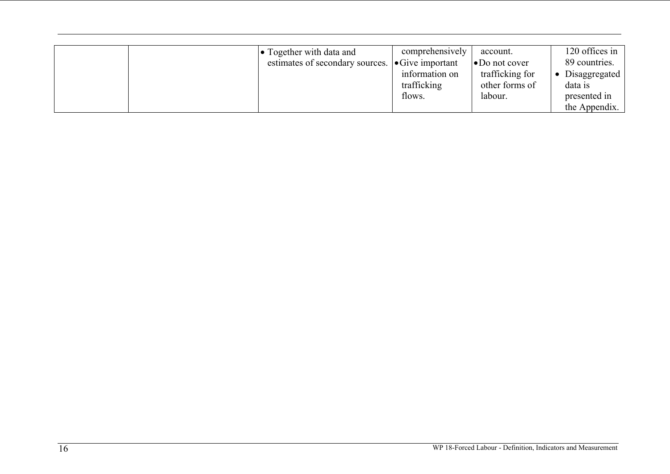| $\bullet$ Together with data and<br>estimates of secondary sources. | comprehensively<br>$\bullet$ Give important<br>information on<br>trafficking<br>flows. | account.<br>$\bullet$ Do not cover<br>trafficking for<br>other forms of<br>labour. | 120 offices in<br>89 countries.<br>• Disaggregated<br>data is<br>presented in<br>the Appendix. |
|---------------------------------------------------------------------|----------------------------------------------------------------------------------------|------------------------------------------------------------------------------------|------------------------------------------------------------------------------------------------|
|---------------------------------------------------------------------|----------------------------------------------------------------------------------------|------------------------------------------------------------------------------------|------------------------------------------------------------------------------------------------|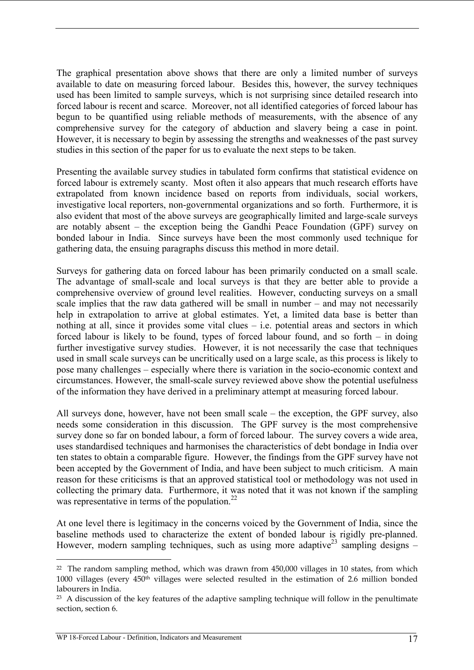The graphical presentation above shows that there are only a limited number of surveys available to date on measuring forced labour. Besides this, however, the survey techniques used has been limited to sample surveys, which is not surprising since detailed research into forced labour is recent and scarce. Moreover, not all identified categories of forced labour has begun to be quantified using reliable methods of measurements, with the absence of any comprehensive survey for the category of abduction and slavery being a case in point. However, it is necessary to begin by assessing the strengths and weaknesses of the past survey studies in this section of the paper for us to evaluate the next steps to be taken.

Presenting the available survey studies in tabulated form confirms that statistical evidence on forced labour is extremely scanty. Most often it also appears that much research efforts have extrapolated from known incidence based on reports from individuals, social workers, investigative local reporters, non-governmental organizations and so forth. Furthermore, it is also evident that most of the above surveys are geographically limited and large-scale surveys are notably absent – the exception being the Gandhi Peace Foundation (GPF) survey on bonded labour in India. Since surveys have been the most commonly used technique for gathering data, the ensuing paragraphs discuss this method in more detail.

Surveys for gathering data on forced labour has been primarily conducted on a small scale. The advantage of small-scale and local surveys is that they are better able to provide a comprehensive overview of ground level realities. However, conducting surveys on a small scale implies that the raw data gathered will be small in number – and may not necessarily help in extrapolation to arrive at global estimates. Yet, a limited data base is better than nothing at all, since it provides some vital clues – i.e. potential areas and sectors in which forced labour is likely to be found, types of forced labour found, and so forth – in doing further investigative survey studies. However, it is not necessarily the case that techniques used in small scale surveys can be uncritically used on a large scale, as this process is likely to pose many challenges – especially where there is variation in the socio-economic context and circumstances. However, the small-scale survey reviewed above show the potential usefulness of the information they have derived in a preliminary attempt at measuring forced labour.

All surveys done, however, have not been small scale – the exception, the GPF survey, also needs some consideration in this discussion. The GPF survey is the most comprehensive survey done so far on bonded labour, a form of forced labour. The survey covers a wide area, uses standardised techniques and harmonises the characteristics of debt bondage in India over ten states to obtain a comparable figure. However, the findings from the GPF survey have not been accepted by the Government of India, and have been subject to much criticism. A main reason for these criticisms is that an approved statistical tool or methodology was not used in collecting the primary data. Furthermore, it was noted that it was not known if the sampling was representative in terms of the population. $^{22}$ 

At one level there is legitimacy in the concerns voiced by the Government of India, since the baseline methods used to characterize the extent of bonded labour is rigidly pre-planned. However, modern sampling techniques, such as using more adaptive<sup>23</sup> sampling designs –

<sup>&</sup>lt;sup>22</sup> The random sampling method, which was drawn from 450,000 villages in 10 states, from which 1000 villages (every 450th villages were selected resulted in the estimation of 2.6 million bonded labourers in India.

<sup>&</sup>lt;sup>23</sup> A discussion of the key features of the adaptive sampling technique will follow in the penultimate section, section 6.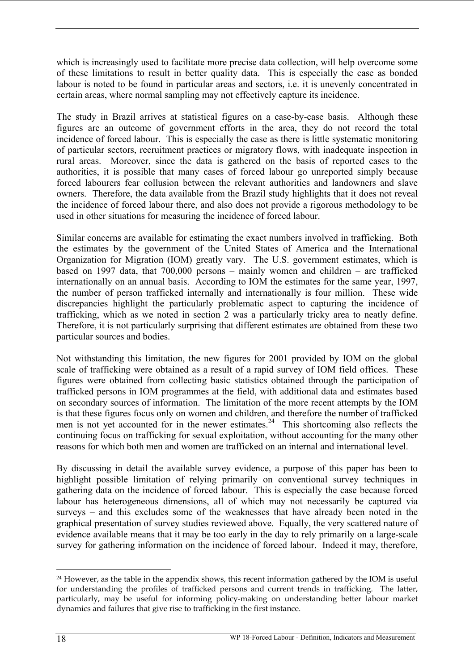which is increasingly used to facilitate more precise data collection, will help overcome some of these limitations to result in better quality data. This is especially the case as bonded labour is noted to be found in particular areas and sectors, i.e. it is unevenly concentrated in certain areas, where normal sampling may not effectively capture its incidence.

The study in Brazil arrives at statistical figures on a case-by-case basis. Although these figures are an outcome of government efforts in the area, they do not record the total incidence of forced labour. This is especially the case as there is little systematic monitoring of particular sectors, recruitment practices or migratory flows, with inadequate inspection in rural areas. Moreover, since the data is gathered on the basis of reported cases to the authorities, it is possible that many cases of forced labour go unreported simply because forced labourers fear collusion between the relevant authorities and landowners and slave owners. Therefore, the data available from the Brazil study highlights that it does not reveal the incidence of forced labour there, and also does not provide a rigorous methodology to be used in other situations for measuring the incidence of forced labour.

Similar concerns are available for estimating the exact numbers involved in trafficking. Both the estimates by the government of the United States of America and the International Organization for Migration (IOM) greatly vary. The U.S. government estimates, which is based on 1997 data, that 700,000 persons – mainly women and children – are trafficked internationally on an annual basis. According to IOM the estimates for the same year, 1997, the number of person trafficked internally and internationally is four million. These wide discrepancies highlight the particularly problematic aspect to capturing the incidence of trafficking, which as we noted in section 2 was a particularly tricky area to neatly define. Therefore, it is not particularly surprising that different estimates are obtained from these two particular sources and bodies.

Not withstanding this limitation, the new figures for 2001 provided by IOM on the global scale of trafficking were obtained as a result of a rapid survey of IOM field offices. These figures were obtained from collecting basic statistics obtained through the participation of trafficked persons in IOM programmes at the field, with additional data and estimates based on secondary sources of information. The limitation of the more recent attempts by the IOM is that these figures focus only on women and children, and therefore the number of trafficked men is not yet accounted for in the newer estimates.<sup>24</sup> This shortcoming also reflects the continuing focus on trafficking for sexual exploitation, without accounting for the many other reasons for which both men and women are trafficked on an internal and international level.

By discussing in detail the available survey evidence, a purpose of this paper has been to highlight possible limitation of relying primarily on conventional survey techniques in gathering data on the incidence of forced labour. This is especially the case because forced labour has heterogeneous dimensions, all of which may not necessarily be captured via surveys – and this excludes some of the weaknesses that have already been noted in the graphical presentation of survey studies reviewed above. Equally, the very scattered nature of evidence available means that it may be too early in the day to rely primarily on a large-scale survey for gathering information on the incidence of forced labour. Indeed it may, therefore,

 $\overline{a}$ <sup>24</sup> However, as the table in the appendix shows, this recent information gathered by the IOM is useful for understanding the profiles of trafficked persons and current trends in trafficking. The latter, particularly, may be useful for informing policy-making on understanding better labour market dynamics and failures that give rise to trafficking in the first instance.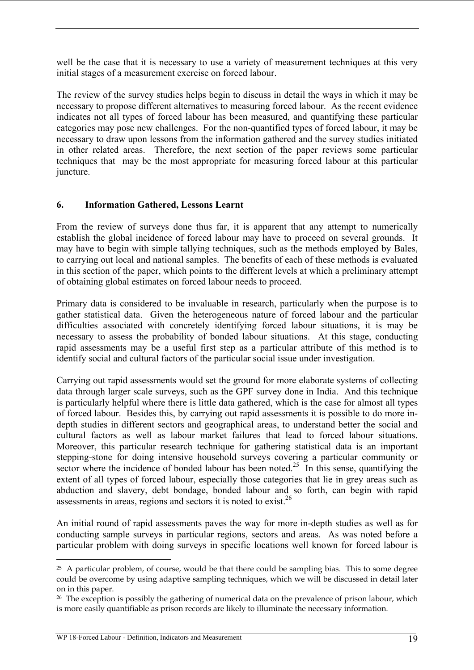well be the case that it is necessary to use a variety of measurement techniques at this very initial stages of a measurement exercise on forced labour.

The review of the survey studies helps begin to discuss in detail the ways in which it may be necessary to propose different alternatives to measuring forced labour. As the recent evidence indicates not all types of forced labour has been measured, and quantifying these particular categories may pose new challenges. For the non-quantified types of forced labour, it may be necessary to draw upon lessons from the information gathered and the survey studies initiated in other related areas. Therefore, the next section of the paper reviews some particular techniques that may be the most appropriate for measuring forced labour at this particular juncture.

#### **6. Information Gathered, Lessons Learnt**

From the review of surveys done thus far, it is apparent that any attempt to numerically establish the global incidence of forced labour may have to proceed on several grounds. It may have to begin with simple tallying techniques, such as the methods employed by Bales, to carrying out local and national samples. The benefits of each of these methods is evaluated in this section of the paper, which points to the different levels at which a preliminary attempt of obtaining global estimates on forced labour needs to proceed.

Primary data is considered to be invaluable in research, particularly when the purpose is to gather statistical data. Given the heterogeneous nature of forced labour and the particular difficulties associated with concretely identifying forced labour situations, it is may be necessary to assess the probability of bonded labour situations. At this stage, conducting rapid assessments may be a useful first step as a particular attribute of this method is to identify social and cultural factors of the particular social issue under investigation.

Carrying out rapid assessments would set the ground for more elaborate systems of collecting data through larger scale surveys, such as the GPF survey done in India. And this technique is particularly helpful where there is little data gathered, which is the case for almost all types of forced labour. Besides this, by carrying out rapid assessments it is possible to do more indepth studies in different sectors and geographical areas, to understand better the social and cultural factors as well as labour market failures that lead to forced labour situations. Moreover, this particular research technique for gathering statistical data is an important stepping-stone for doing intensive household surveys covering a particular community or sector where the incidence of bonded labour has been noted.<sup>25</sup> In this sense, quantifying the extent of all types of forced labour, especially those categories that lie in grey areas such as abduction and slavery, debt bondage, bonded labour and so forth, can begin with rapid assessments in areas, regions and sectors it is noted to  $exist.<sup>26</sup>$ 

An initial round of rapid assessments paves the way for more in-depth studies as well as for conducting sample surveys in particular regions, sectors and areas. As was noted before a particular problem with doing surveys in specific locations well known for forced labour is

<sup>&</sup>lt;sup>25</sup> A particular problem, of course, would be that there could be sampling bias. This to some degree could be overcome by using adaptive sampling techniques, which we will be discussed in detail later on in this paper.

 $26$  The exception is possibly the gathering of numerical data on the prevalence of prison labour, which is more easily quantifiable as prison records are likely to illuminate the necessary information.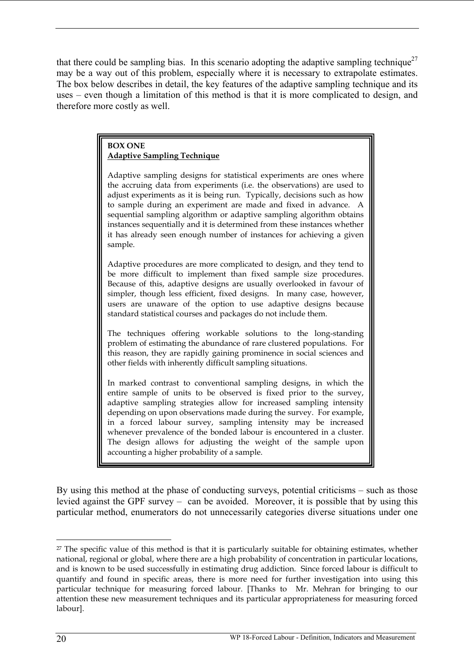that there could be sampling bias. In this scenario adopting the adaptive sampling technique<sup>27</sup> may be a way out of this problem, especially where it is necessary to extrapolate estimates. The box below describes in detail, the key features of the adaptive sampling technique and its uses – even though a limitation of this method is that it is more complicated to design, and therefore more costly as well.

#### **BOX ONE Adaptive Sampling Technique**

Adaptive sampling designs for statistical experiments are ones where the accruing data from experiments (i.e. the observations) are used to adjust experiments as it is being run. Typically, decisions such as how to sample during an experiment are made and fixed in advance. A sequential sampling algorithm or adaptive sampling algorithm obtains instances sequentially and it is determined from these instances whether it has already seen enough number of instances for achieving a given sample.

Adaptive procedures are more complicated to design, and they tend to be more difficult to implement than fixed sample size procedures. Because of this, adaptive designs are usually overlooked in favour of simpler, though less efficient, fixed designs. In many case, however, users are unaware of the option to use adaptive designs because standard statistical courses and packages do not include them.

The techniques offering workable solutions to the long-standing problem of estimating the abundance of rare clustered populations. For this reason, they are rapidly gaining prominence in social sciences and other fields with inherently difficult sampling situations.

In marked contrast to conventional sampling designs, in which the entire sample of units to be observed is fixed prior to the survey, adaptive sampling strategies allow for increased sampling intensity depending on upon observations made during the survey. For example, in a forced labour survey, sampling intensity may be increased whenever prevalence of the bonded labour is encountered in a cluster. The design allows for adjusting the weight of the sample upon accounting a higher probability of a sample.

By using this method at the phase of conducting surveys, potential criticisms – such as those levied against the GPF survey – can be avoided. Moreover, it is possible that by using this particular method, enumerators do not unnecessarily categories diverse situations under one

 $\overline{a}$ <sup>27</sup> The specific value of this method is that it is particularly suitable for obtaining estimates, whether national, regional or global, where there are a high probability of concentration in particular locations, and is known to be used successfully in estimating drug addiction. Since forced labour is difficult to quantify and found in specific areas, there is more need for further investigation into using this particular technique for measuring forced labour. [Thanks to Mr. Mehran for bringing to our attention these new measurement techniques and its particular appropriateness for measuring forced labour].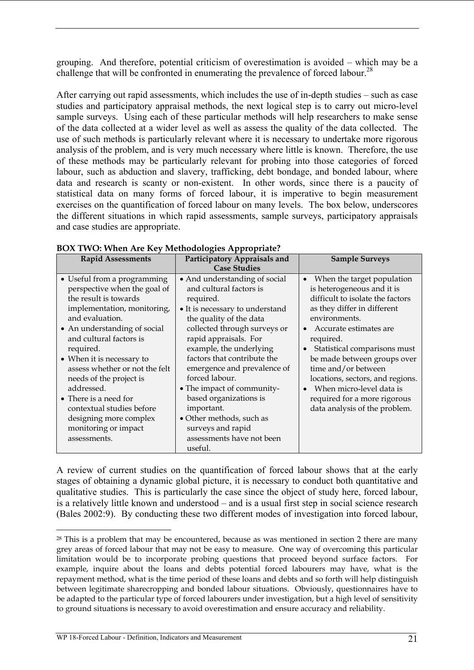grouping. And therefore, potential criticism of overestimation is avoided – which may be a challenge that will be confronted in enumerating the prevalence of forced labour.<sup>28</sup>

After carrying out rapid assessments, which includes the use of in-depth studies – such as case studies and participatory appraisal methods, the next logical step is to carry out micro-level sample surveys. Using each of these particular methods will help researchers to make sense of the data collected at a wider level as well as assess the quality of the data collected. The use of such methods is particularly relevant where it is necessary to undertake more rigorous analysis of the problem, and is very much necessary where little is known. Therefore, the use of these methods may be particularly relevant for probing into those categories of forced labour, such as abduction and slavery, trafficking, debt bondage, and bonded labour, where data and research is scanty or non-existent. In other words, since there is a paucity of statistical data on many forms of forced labour, it is imperative to begin measurement exercises on the quantification of forced labour on many levels. The box below, underscores the different situations in which rapid assessments, sample surveys, participatory appraisals and case studies are appropriate.

| <b>Rapid Assessments</b>                                                                                                                                                                                                                                                                                                                                                                                                                       | Participatory Appraisals and                                                                                                                                                                                                                                                                                                                                                                                                                                           | <b>Sample Surveys</b>                                                                                                                                                                                                                                                                                                                                                                                      |
|------------------------------------------------------------------------------------------------------------------------------------------------------------------------------------------------------------------------------------------------------------------------------------------------------------------------------------------------------------------------------------------------------------------------------------------------|------------------------------------------------------------------------------------------------------------------------------------------------------------------------------------------------------------------------------------------------------------------------------------------------------------------------------------------------------------------------------------------------------------------------------------------------------------------------|------------------------------------------------------------------------------------------------------------------------------------------------------------------------------------------------------------------------------------------------------------------------------------------------------------------------------------------------------------------------------------------------------------|
|                                                                                                                                                                                                                                                                                                                                                                                                                                                | <b>Case Studies</b>                                                                                                                                                                                                                                                                                                                                                                                                                                                    |                                                                                                                                                                                                                                                                                                                                                                                                            |
| • Useful from a programming<br>perspective when the goal of<br>the result is towards<br>implementation, monitoring,<br>and evaluation.<br>• An understanding of social<br>and cultural factors is<br>required.<br>• When it is necessary to<br>assess whether or not the felt<br>needs of the project is<br>addressed.<br>• There is a need for<br>contextual studies before<br>designing more complex<br>monitoring or impact<br>assessments. | • And understanding of social<br>and cultural factors is<br>required.<br>• It is necessary to understand<br>the quality of the data<br>collected through surveys or<br>rapid appraisals. For<br>example, the underlying<br>factors that contribute the<br>emergence and prevalence of<br>forced labour.<br>• The impact of community-<br>based organizations is<br>important.<br>• Other methods, such as<br>surveys and rapid<br>assessments have not been<br>useful. | When the target population<br>is heterogeneous and it is<br>difficult to isolate the factors<br>as they differ in different<br>environments.<br>Accurate estimates are<br>required.<br>Statistical comparisons must<br>be made between groups over<br>time and/or between<br>locations, sectors, and regions.<br>When micro-level data is<br>required for a more rigorous<br>data analysis of the problem. |
|                                                                                                                                                                                                                                                                                                                                                                                                                                                |                                                                                                                                                                                                                                                                                                                                                                                                                                                                        |                                                                                                                                                                                                                                                                                                                                                                                                            |

#### **BOX TWO: When Are Key Methodologies Appropriate?**

A review of current studies on the quantification of forced labour shows that at the early stages of obtaining a dynamic global picture, it is necessary to conduct both quantitative and qualitative studies. This is particularly the case since the object of study here, forced labour, is a relatively little known and understood – and is a usual first step in social science research (Bales 2002:9). By conducting these two different modes of investigation into forced labour,

<sup>&</sup>lt;sup>28</sup> This is a problem that may be encountered, because as was mentioned in section 2 there are many grey areas of forced labour that may not be easy to measure. One way of overcoming this particular limitation would be to incorporate probing questions that proceed beyond surface factors. For example, inquire about the loans and debts potential forced labourers may have, what is the repayment method, what is the time period of these loans and debts and so forth will help distinguish between legitimate sharecropping and bonded labour situations. Obviously, questionnaires have to be adapted to the particular type of forced labourers under investigation, but a high level of sensitivity to ground situations is necessary to avoid overestimation and ensure accuracy and reliability.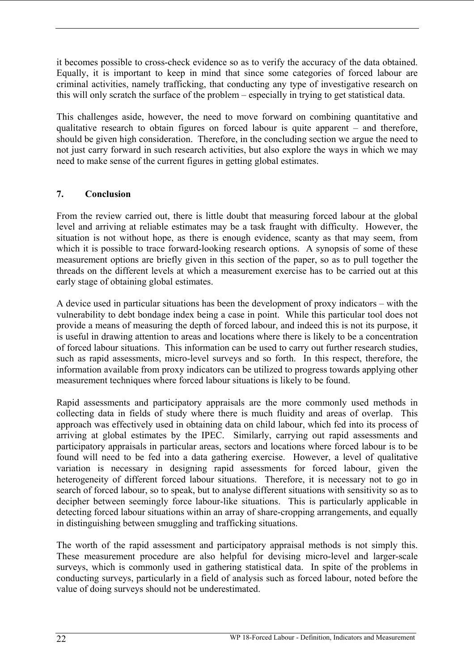it becomes possible to cross-check evidence so as to verify the accuracy of the data obtained. Equally, it is important to keep in mind that since some categories of forced labour are criminal activities, namely trafficking, that conducting any type of investigative research on this will only scratch the surface of the problem – especially in trying to get statistical data.

This challenges aside, however, the need to move forward on combining quantitative and qualitative research to obtain figures on forced labour is quite apparent – and therefore, should be given high consideration. Therefore, in the concluding section we argue the need to not just carry forward in such research activities, but also explore the ways in which we may need to make sense of the current figures in getting global estimates.

### **7. Conclusion**

From the review carried out, there is little doubt that measuring forced labour at the global level and arriving at reliable estimates may be a task fraught with difficulty. However, the situation is not without hope, as there is enough evidence, scanty as that may seem, from which it is possible to trace forward-looking research options. A synopsis of some of these measurement options are briefly given in this section of the paper, so as to pull together the threads on the different levels at which a measurement exercise has to be carried out at this early stage of obtaining global estimates.

A device used in particular situations has been the development of proxy indicators – with the vulnerability to debt bondage index being a case in point. While this particular tool does not provide a means of measuring the depth of forced labour, and indeed this is not its purpose, it is useful in drawing attention to areas and locations where there is likely to be a concentration of forced labour situations. This information can be used to carry out further research studies, such as rapid assessments, micro-level surveys and so forth. In this respect, therefore, the information available from proxy indicators can be utilized to progress towards applying other measurement techniques where forced labour situations is likely to be found.

Rapid assessments and participatory appraisals are the more commonly used methods in collecting data in fields of study where there is much fluidity and areas of overlap. This approach was effectively used in obtaining data on child labour, which fed into its process of arriving at global estimates by the IPEC. Similarly, carrying out rapid assessments and participatory appraisals in particular areas, sectors and locations where forced labour is to be found will need to be fed into a data gathering exercise. However, a level of qualitative variation is necessary in designing rapid assessments for forced labour, given the heterogeneity of different forced labour situations. Therefore, it is necessary not to go in search of forced labour, so to speak, but to analyse different situations with sensitivity so as to decipher between seemingly force labour-like situations. This is particularly applicable in detecting forced labour situations within an array of share-cropping arrangements, and equally in distinguishing between smuggling and trafficking situations.

The worth of the rapid assessment and participatory appraisal methods is not simply this. These measurement procedure are also helpful for devising micro-level and larger-scale surveys, which is commonly used in gathering statistical data. In spite of the problems in conducting surveys, particularly in a field of analysis such as forced labour, noted before the value of doing surveys should not be underestimated.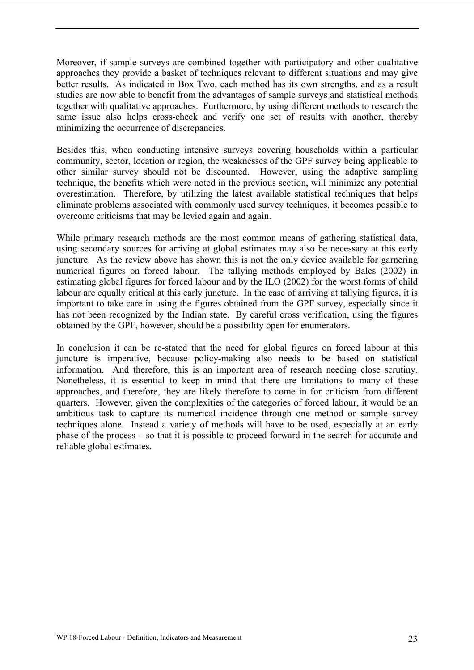Moreover, if sample surveys are combined together with participatory and other qualitative approaches they provide a basket of techniques relevant to different situations and may give better results. As indicated in Box Two, each method has its own strengths, and as a result studies are now able to benefit from the advantages of sample surveys and statistical methods together with qualitative approaches. Furthermore, by using different methods to research the same issue also helps cross-check and verify one set of results with another, thereby minimizing the occurrence of discrepancies.

Besides this, when conducting intensive surveys covering households within a particular community, sector, location or region, the weaknesses of the GPF survey being applicable to other similar survey should not be discounted. However, using the adaptive sampling technique, the benefits which were noted in the previous section, will minimize any potential overestimation. Therefore, by utilizing the latest available statistical techniques that helps eliminate problems associated with commonly used survey techniques, it becomes possible to overcome criticisms that may be levied again and again.

While primary research methods are the most common means of gathering statistical data, using secondary sources for arriving at global estimates may also be necessary at this early juncture. As the review above has shown this is not the only device available for garnering numerical figures on forced labour. The tallying methods employed by Bales (2002) in estimating global figures for forced labour and by the ILO (2002) for the worst forms of child labour are equally critical at this early juncture. In the case of arriving at tallying figures, it is important to take care in using the figures obtained from the GPF survey, especially since it has not been recognized by the Indian state. By careful cross verification, using the figures obtained by the GPF, however, should be a possibility open for enumerators.

In conclusion it can be re-stated that the need for global figures on forced labour at this juncture is imperative, because policy-making also needs to be based on statistical information. And therefore, this is an important area of research needing close scrutiny. Nonetheless, it is essential to keep in mind that there are limitations to many of these approaches, and therefore, they are likely therefore to come in for criticism from different quarters. However, given the complexities of the categories of forced labour, it would be an ambitious task to capture its numerical incidence through one method or sample survey techniques alone. Instead a variety of methods will have to be used, especially at an early phase of the process – so that it is possible to proceed forward in the search for accurate and reliable global estimates.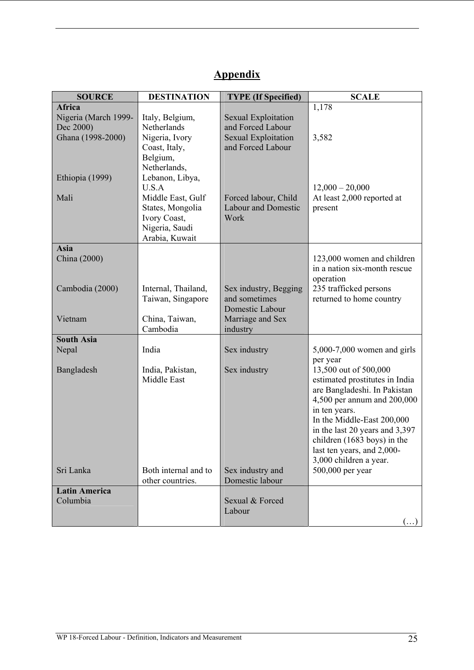| <b>SOURCE</b>                                      | <b>DESTINATION</b>                                                               | <b>TYPE</b> (If Specified)                                 | <b>SCALE</b>                                                                                                                                                                                                                                                                                                       |
|----------------------------------------------------|----------------------------------------------------------------------------------|------------------------------------------------------------|--------------------------------------------------------------------------------------------------------------------------------------------------------------------------------------------------------------------------------------------------------------------------------------------------------------------|
| <b>Africa</b><br>Nigeria (March 1999-<br>Dec 2000) | Italy, Belgium,<br>Netherlands                                                   | <b>Sexual Exploitation</b><br>and Forced Labour            | 1,178                                                                                                                                                                                                                                                                                                              |
| Ghana (1998-2000)<br>Ethiopia (1999)               | Nigeria, Ivory<br>Coast, Italy,<br>Belgium,<br>Netherlands,<br>Lebanon, Libya,   | <b>Sexual Exploitation</b><br>and Forced Labour            | 3,582                                                                                                                                                                                                                                                                                                              |
| Mali                                               | U.S.A<br>Middle East, Gulf<br>States, Mongolia<br>Ivory Coast,<br>Nigeria, Saudi | Forced labour, Child<br><b>Labour and Domestic</b><br>Work | $12,000 - 20,000$<br>At least 2,000 reported at<br>present                                                                                                                                                                                                                                                         |
|                                                    | Arabia, Kuwait                                                                   |                                                            |                                                                                                                                                                                                                                                                                                                    |
| Asia<br>China (2000)                               |                                                                                  |                                                            | 123,000 women and children<br>in a nation six-month rescue<br>operation                                                                                                                                                                                                                                            |
| Cambodia (2000)                                    | Internal, Thailand,<br>Taiwan, Singapore                                         | Sex industry, Begging<br>and sometimes<br>Domestic Labour  | 235 trafficked persons<br>returned to home country                                                                                                                                                                                                                                                                 |
| Vietnam                                            | China, Taiwan,<br>Cambodia                                                       | Marriage and Sex<br>industry                               |                                                                                                                                                                                                                                                                                                                    |
| <b>South Asia</b>                                  |                                                                                  |                                                            |                                                                                                                                                                                                                                                                                                                    |
| Nepal                                              | India                                                                            | Sex industry                                               | $5,000-7,000$ women and girls<br>per year                                                                                                                                                                                                                                                                          |
| Bangladesh<br>Sri Lanka                            | India, Pakistan,<br>Middle East<br>Both internal and to                          | Sex industry<br>Sex industry and                           | 13,500 out of 500,000<br>estimated prostitutes in India<br>are Bangladeshi. In Pakistan<br>4,500 per annum and 200,000<br>in ten years.<br>In the Middle-East 200,000<br>in the last 20 years and 3,397<br>children (1683 boys) in the<br>last ten years, and 2,000-<br>3,000 children a year.<br>500,000 per year |
|                                                    | other countries.                                                                 | Domestic labour                                            |                                                                                                                                                                                                                                                                                                                    |
| <b>Latin America</b>                               |                                                                                  |                                                            |                                                                                                                                                                                                                                                                                                                    |
| Columbia                                           |                                                                                  | Sexual & Forced<br>Labour                                  | $(\ldots)$                                                                                                                                                                                                                                                                                                         |

# **Appendix**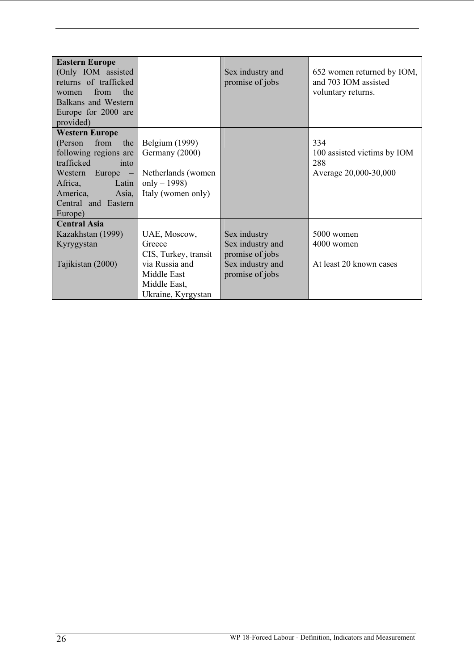| <b>Eastern Europe</b><br>(Only IOM assisted<br>returns of trafficked<br>the<br>from<br>women<br>Balkans and Western<br>Europe for 2000 are<br>provided)                                                                    |                                                                                                                       | Sex industry and<br>promise of jobs                                                        | 652 women returned by IOM,<br>and 703 IOM assisted<br>voluntary returns. |
|----------------------------------------------------------------------------------------------------------------------------------------------------------------------------------------------------------------------------|-----------------------------------------------------------------------------------------------------------------------|--------------------------------------------------------------------------------------------|--------------------------------------------------------------------------|
| <b>Western Europe</b><br>from<br>the<br>(Person<br>following regions are<br>trafficked<br>into<br>Europe<br>Western<br>$\overline{\phantom{m}}$<br>Africa,<br>Latin<br>Asia,<br>America,<br>Central and Eastern<br>Europe) | Belgium (1999)<br>Germany (2000)<br>Netherlands (women<br>only $-1998$ )<br>Italy (women only)                        |                                                                                            | 334<br>100 assisted victims by IOM<br>288<br>Average 20,000-30,000       |
| <b>Central Asia</b><br>Kazakhstan (1999)<br>Kyrygystan<br>Tajikistan (2000)                                                                                                                                                | UAE, Moscow,<br>Greece<br>CIS, Turkey, transit<br>via Russia and<br>Middle East<br>Middle East,<br>Ukraine, Kyrgystan | Sex industry<br>Sex industry and<br>promise of jobs<br>Sex industry and<br>promise of jobs | 5000 women<br>4000 women<br>At least 20 known cases                      |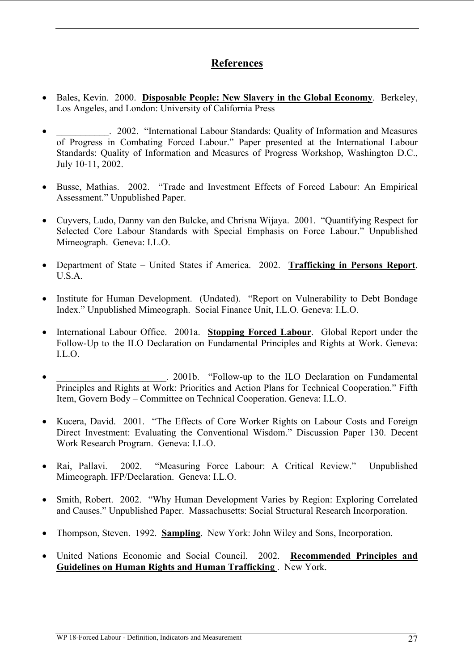## **References**

- Bales, Kevin. 2000. **Disposable People: New Slavery in the Global Economy**. Berkeley, Los Angeles, and London: University of California Press
- . 2002. "International Labour Standards: Quality of Information and Measures of Progress in Combating Forced Labour." Paper presented at the International Labour Standards: Quality of Information and Measures of Progress Workshop, Washington D.C., July 10-11, 2002.
- Busse, Mathias. 2002. "Trade and Investment Effects of Forced Labour: An Empirical Assessment." Unpublished Paper.
- Cuyvers, Ludo, Danny van den Bulcke, and Chrisna Wijaya. 2001. "Quantifying Respect for Selected Core Labour Standards with Special Emphasis on Force Labour." Unpublished Mimeograph. Geneva: I.L.O.
- Department of State United States if America. 2002. **Trafficking in Persons Report**. U.S.A.
- Institute for Human Development. (Undated). "Report on Vulnerability to Debt Bondage Index." Unpublished Mimeograph. Social Finance Unit, I.L.O. Geneva: I.L.O.
- International Labour Office. 2001a. **Stopping Forced Labour**. Global Report under the Follow-Up to the ILO Declaration on Fundamental Principles and Rights at Work. Geneva: I.L.O.
- . 2001b. "Follow-up to the ILO Declaration on Fundamental Principles and Rights at Work: Priorities and Action Plans for Technical Cooperation." Fifth Item, Govern Body – Committee on Technical Cooperation. Geneva: I.L.O.
- Kucera, David. 2001. "The Effects of Core Worker Rights on Labour Costs and Foreign Direct Investment: Evaluating the Conventional Wisdom." Discussion Paper 130. Decent Work Research Program. Geneva: I.L.O.
- Rai, Pallavi. 2002. "Measuring Force Labour: A Critical Review." Unpublished Mimeograph. IFP/Declaration. Geneva: I.L.O.
- Smith, Robert. 2002. "Why Human Development Varies by Region: Exploring Correlated and Causes." Unpublished Paper. Massachusetts: Social Structural Research Incorporation.
- Thompson, Steven. 1992. **Sampling**. New York: John Wiley and Sons, Incorporation.
- United Nations Economic and Social Council. 2002. **Recommended Principles and Guidelines on Human Rights and Human Trafficking** . New York.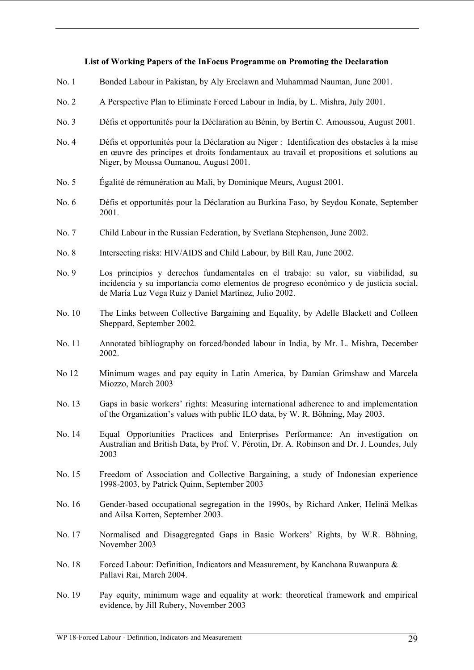#### **List of Working Papers of the InFocus Programme on Promoting the Declaration**

- No. 1 Bonded Labour in Pakistan, by Aly Ercelawn and Muhammad Nauman, June 2001.
- No. 2 A Perspective Plan to Eliminate Forced Labour in India, by L. Mishra, July 2001.
- No. 3 Défis et opportunités pour la Déclaration au Bénin, by Bertin C. Amoussou, August 2001.
- No. 4 Défis et opportunités pour la Déclaration au Niger : Identification des obstacles à la mise en œuvre des principes et droits fondamentaux au travail et propositions et solutions au Niger, by Moussa Oumanou, August 2001.
- No. 5 Égalité de rémunération au Mali, by Dominique Meurs, August 2001.
- No. 6 Défis et opportunités pour la Déclaration au Burkina Faso, by Seydou Konate, September 2001.
- No. 7 Child Labour in the Russian Federation, by Svetlana Stephenson, June 2002.
- No. 8 Intersecting risks: HIV/AIDS and Child Labour, by Bill Rau, June 2002.
- No. 9 Los principios y derechos fundamentales en el trabajo: su valor, su viabilidad, su incidencia y su importancia como elementos de progreso económico y de justicia social, de María Luz Vega Ruiz y Daniel Martínez, Julio 2002.
- No. 10 The Links between Collective Bargaining and Equality, by Adelle Blackett and Colleen Sheppard, September 2002.
- No. 11 Annotated bibliography on forced/bonded labour in India, by Mr. L. Mishra, December 2002.
- No 12 Minimum wages and pay equity in Latin America, by Damian Grimshaw and Marcela Miozzo, March 2003
- No. 13 Gaps in basic workers' rights: Measuring international adherence to and implementation of the Organization's values with public ILO data, by W. R. Böhning, May 2003.
- No. 14 Equal Opportunities Practices and Enterprises Performance: An investigation on Australian and British Data, by Prof. V. Pérotin, Dr. A. Robinson and Dr. J. Loundes, July 2003
- No. 15 Freedom of Association and Collective Bargaining, a study of Indonesian experience 1998-2003, by Patrick Quinn, September 2003
- No. 16 Gender-based occupational segregation in the 1990s, by Richard Anker, Helinä Melkas and Ailsa Korten, September 2003.
- No. 17 Normalised and Disaggregated Gaps in Basic Workers' Rights, by W.R. Böhning, November 2003
- No. 18 Forced Labour: Definition, Indicators and Measurement, by Kanchana Ruwanpura & Pallavi Rai, March 2004.
- No. 19 Pay equity, minimum wage and equality at work: theoretical framework and empirical evidence, by Jill Rubery, November 2003